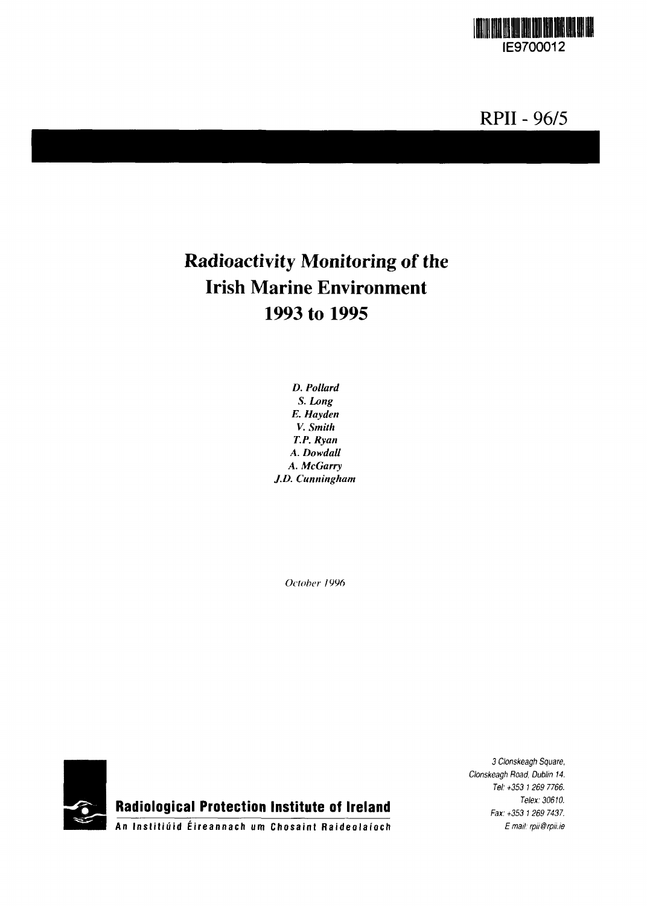

# **RPII - 96/5**

# **Radioactivity Monitoring of the Irish Marine Environment 1993 to 1995**

*D. Pollard S. Long E. Hayden V. Smith T.P. Ryan A. Dowdall A. McGarry J.D. Cunningham*

*October 1996*



**Radiological Protection Institute of Ireland**

3 Clonskeagh Square, Clonskeagh Road, Dublin 14. Tel: +353 1 269 7766. Telex: 30610. Fax: +353 1 269 7437. *Email: rpii@rpii.ie*

**A n Inslitiui d Eireannac h urn Chosain t Raideolai'oc h**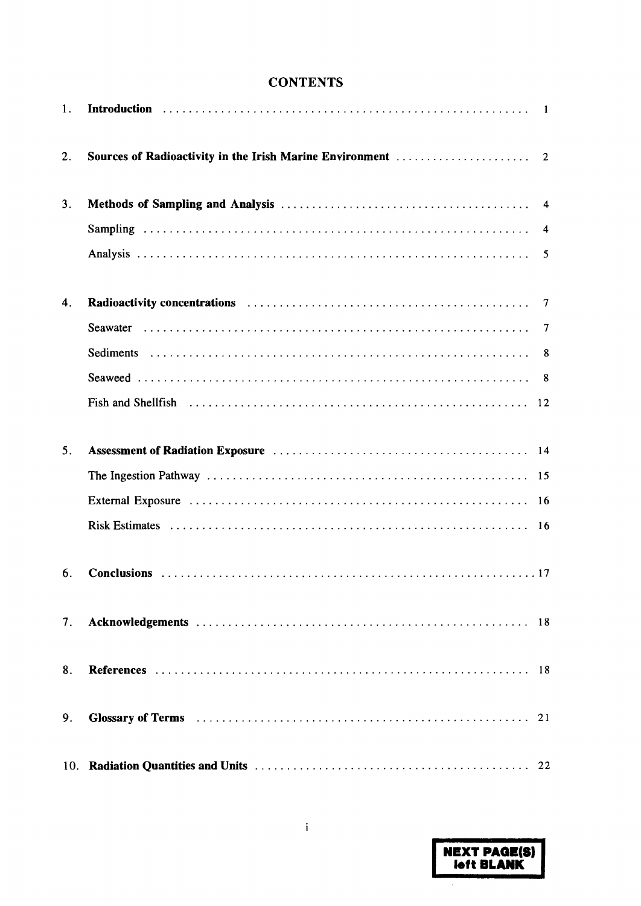# **CONTENTS**

| 1.             |                                                                                                                                                                                                                                |    |
|----------------|--------------------------------------------------------------------------------------------------------------------------------------------------------------------------------------------------------------------------------|----|
| 2.             |                                                                                                                                                                                                                                |    |
| 3 <sub>1</sub> |                                                                                                                                                                                                                                |    |
|                |                                                                                                                                                                                                                                |    |
|                |                                                                                                                                                                                                                                |    |
| 4.             |                                                                                                                                                                                                                                |    |
|                |                                                                                                                                                                                                                                |    |
|                |                                                                                                                                                                                                                                |    |
|                |                                                                                                                                                                                                                                |    |
|                |                                                                                                                                                                                                                                |    |
| 5.             | Assessment of Radiation Exposure contracts of the contract of the system of Radiation Exposure contracts of the system of the system of the system of the system of the system of the system of the system of the system of th |    |
|                |                                                                                                                                                                                                                                |    |
|                |                                                                                                                                                                                                                                |    |
|                |                                                                                                                                                                                                                                |    |
| 6.             |                                                                                                                                                                                                                                |    |
| 7.             |                                                                                                                                                                                                                                | 18 |
| 8.             |                                                                                                                                                                                                                                |    |
| 9.             |                                                                                                                                                                                                                                |    |
|                |                                                                                                                                                                                                                                |    |

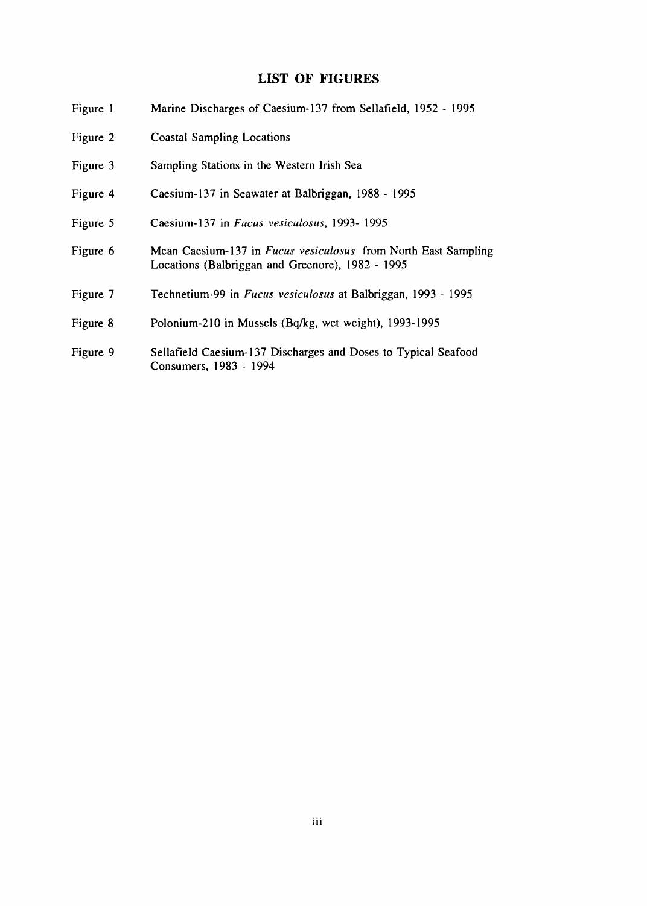# **LIST OF FIGURES**

| Figure 1 | Marine Discharges of Caesium-137 from Sellafield, 1952 - 1995                                                             |
|----------|---------------------------------------------------------------------------------------------------------------------------|
| Figure 2 | <b>Coastal Sampling Locations</b>                                                                                         |
| Figure 3 | Sampling Stations in the Western Irish Sea                                                                                |
| Figure 4 | Caesium-137 in Seawater at Balbriggan, 1988 - 1995                                                                        |
| Figure 5 | Caesium-137 in Fucus vesiculosus, 1993-1995                                                                               |
| Figure 6 | Mean Caesium-137 in <i>Fucus vesiculosus</i> from North East Sampling<br>Locations (Balbriggan and Greenore), 1982 - 1995 |
| Figure 7 | Technetium-99 in Fucus vesiculosus at Balbriggan, 1993 - 1995                                                             |
| Figure 8 | Polonium-210 in Mussels (Bq/kg, wet weight), 1993-1995                                                                    |
| Figure 9 | Sellafield Caesium-137 Discharges and Doses to Typical Seafood<br>Consumers, 1983 - 1994                                  |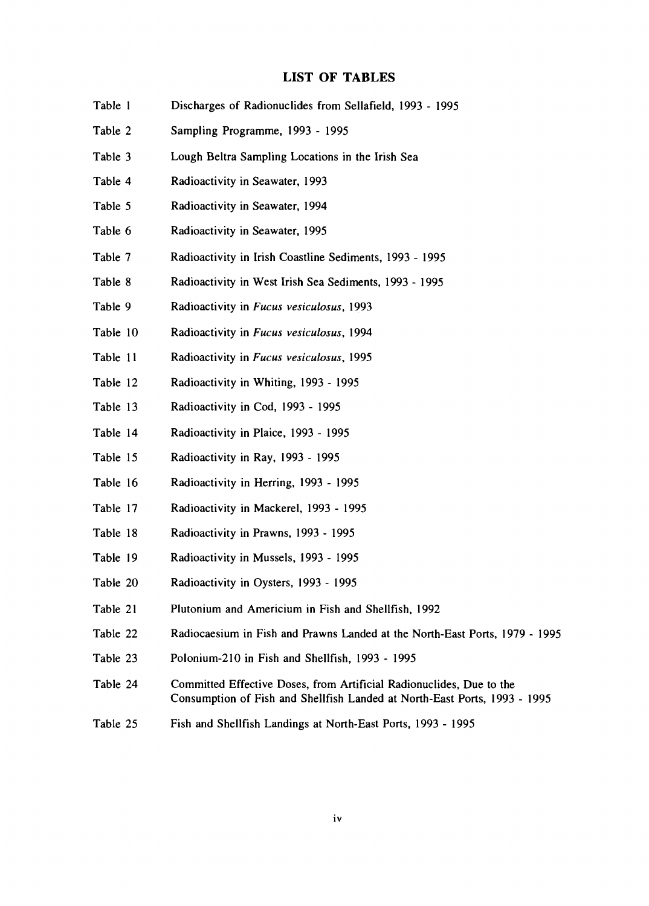# **LIST OF TABLES**

| Table 1  | Discharges of Radionuclides from Sellafield, 1993 - 1995                                                                                          |
|----------|---------------------------------------------------------------------------------------------------------------------------------------------------|
| Table 2  | Sampling Programme, 1993 - 1995                                                                                                                   |
| Table 3  | Lough Beltra Sampling Locations in the Irish Sea                                                                                                  |
| Table 4  | Radioactivity in Seawater, 1993                                                                                                                   |
| Table 5  | Radioactivity in Seawater, 1994                                                                                                                   |
| Table 6  | Radioactivity in Seawater, 1995                                                                                                                   |
| Table 7  | Radioactivity in Irish Coastline Sediments, 1993 - 1995                                                                                           |
| Table 8  | Radioactivity in West Irish Sea Sediments, 1993 - 1995                                                                                            |
| Table 9  | Radioactivity in Fucus vesiculosus, 1993                                                                                                          |
| Table 10 | Radioactivity in Fucus vesiculosus, 1994                                                                                                          |
| Table 11 | Radioactivity in Fucus vesiculosus, 1995                                                                                                          |
| Table 12 | Radioactivity in Whiting, 1993 - 1995                                                                                                             |
| Table 13 | Radioactivity in Cod, 1993 - 1995                                                                                                                 |
| Table 14 | Radioactivity in Plaice, 1993 - 1995                                                                                                              |
| Table 15 | Radioactivity in Ray, 1993 - 1995                                                                                                                 |
| Table 16 | Radioactivity in Herring, 1993 - 1995                                                                                                             |
| Table 17 | Radioactivity in Mackerel, 1993 - 1995                                                                                                            |
| Table 18 | Radioactivity in Prawns, 1993 - 1995                                                                                                              |
| Table 19 | Radioactivity in Mussels, 1993 - 1995                                                                                                             |
| Table 20 | Radioactivity in Oysters, 1993 - 1995                                                                                                             |
| Table 21 | Plutonium and Americium in Fish and Shellfish, 1992                                                                                               |
| Table 22 | Radiocaesium in Fish and Prawns Landed at the North-East Ports, 1979 - 1995                                                                       |
| Table 23 | Polonium-210 in Fish and Shellfish, 1993 - 1995                                                                                                   |
| Table 24 | Committed Effective Doses, from Artificial Radionuclides, Due to the<br>Consumption of Fish and Shellfish Landed at North-East Ports, 1993 - 1995 |
| Table 25 | Fish and Shellfish Landings at North-East Ports, 1993 - 1995                                                                                      |
|          |                                                                                                                                                   |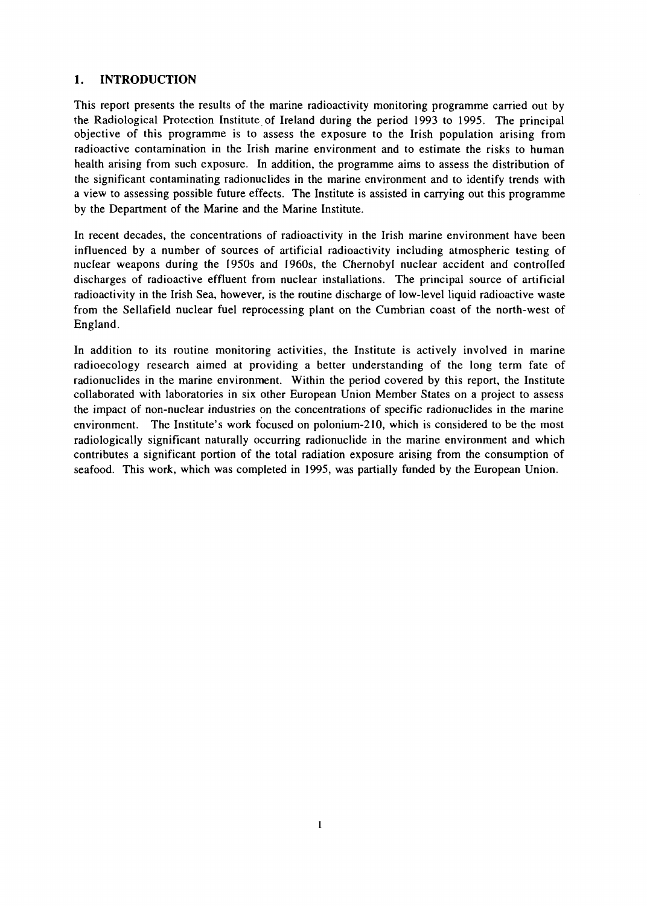# **1. INTRODUCTION**

This report presents the results of the marine radioactivity monitoring programme carried out by the Radiological Protection Institute of Ireland during the period 1993 to 1995. The principal objective of this programme is to assess the exposure to the Irish population arising from radioactive contamination in the Irish marine environment and to estimate the risks to human health arising from such exposure. In addition, the programme aims to assess the distribution of the significant contaminating radionuclides in the marine environment and to identify trends with a view to assessing possible future effects. The Institute is assisted in carrying out this programme by the Department of the Marine and the Marine Institute.

In recent decades, the concentrations of radioactivity in the Irish marine environment have been influenced by a number of sources of artificial radioactivity including atmospheric testing of nuclear weapons during the 1950s and 1960s, the Chernobyl nuclear accident and controlled discharges of radioactive effluent from nuclear installations. The principal source of artificial radioactivity in the Irish Sea, however, is the routine discharge of low-level liquid radioactive waste from the Sellafield nuclear fuel reprocessing plant on the Cumbrian coast of the north-west of England.

In addition to its routine monitoring activities, the Institute is actively involved in marine radioecology research aimed at providing a better understanding of the long term fate of radionuclides in the marine environment. Within the period covered by this report, the Institute collaborated with laboratories in six other European Union Member States on a project to assess the impact of non-nuclear industries on the concentrations of specific radionuclides in the marine environment. The Institute's work focused on polonium-210, which is considered to be the most radiologically significant naturally occurring radionuclide in the marine environment and which contributes a significant portion of the total radiation exposure arising from the consumption of seafood. This work, which was completed in 1995, was partially funded by the European Union.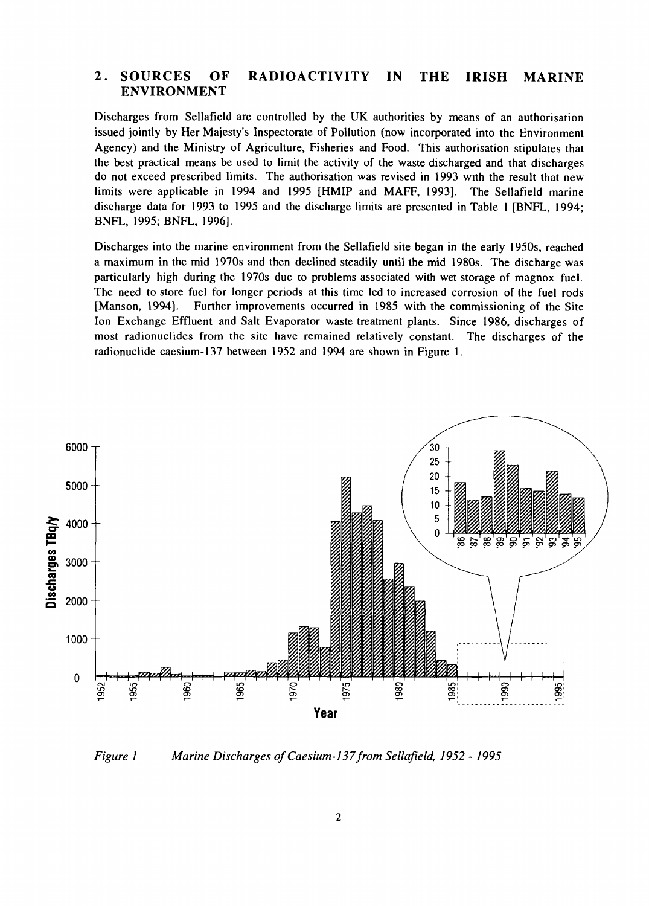# **2. SOURCES OF RADIOACTIVITY IN THE IRISH MARINE ENVIRONMENT**

Discharges from Sellafield are controlled by the UK authorities by means of an authorisation issued jointly by Her Majesty's Inspectorate of Pollution (now incorporated into the Environment Agency) and the Ministry of Agriculture, Fisheries and Food. This authorisation stipulates that the best practical means be used to limit the activity of the waste discharged and that discharges do not exceed prescribed limits. The authorisation was revised in 1993 with the result that new limits were applicable in 1994 and 1995 [HMIP and MAFF, 1993]. The Sellafield marine discharge data for 1993 to 1995 and the discharge limits are presented in Table 1 [BNFL, 1994; BNFL, 1995; BNFL, 1996].

Discharges into the marine environment from the Sellafield site began in the early 1950s, reached a maximum in the mid 1970s and then declined steadily until the mid 1980s. The discharge was particularly high during the 1970s due to problems associated with wet storage of magnox fuel. The need to store fuel for longer periods at this time led to increased corrosion of the fuel rods [Manson, 1994]. Further improvements occurred in 1985 with the commissioning of the Site Ion Exchange Effluent and Salt Evaporator waste treatment plants. Since 1986, discharges of most radionuclides from the site have remained relatively constant. The discharges of the radionuclide caesium-137 between 1952 and 1994 are shown in Figure 1.



*Figure 1 Marine Discharges of Caesium-137 from Sellafield, 1952 -1995*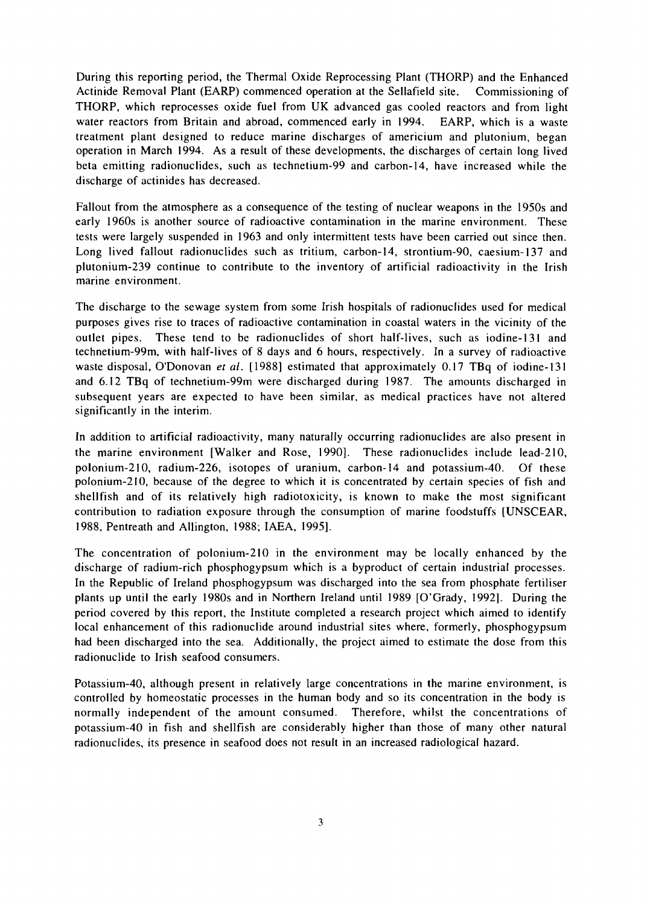During this reporting period, the Thermal Oxide Reprocessing Plant (THORP) and the Enhanced Actinide Removal Plant (EARP) commenced operation at the Sellafield site. Commissioning of THORP, which reprocesses oxide fuel from UK advanced gas cooled reactors and from light water reactors from Britain and abroad, commenced early in 1994. EARP, which is a waste treatment plant designed to reduce marine discharges of americium and plutonium, began operation in March 1994. As a result of these developments, the discharges of certain long lived beta emitting radionuclides, such as technetium-99 and carbon-14, have increased while the discharge of actinides has decreased.

Fallout from the atmosphere as a consequence of the testing of nuclear weapons in the 1950s and early 1960s is another source of radioactive contamination in the marine environment. These tests were largely suspended in 1963 and only intermittent tests have been carried out since then. Long lived fallout radionuclides such as tritium, carbon-14, strontium-90, caesium-137 and plutonium-239 continue to contribute to the inventory of artificial radioactivity in the Irish marine environment.

The discharge to the sewage system from some Irish hospitals of radionuclides used for medical purposes gives rise to traces of radioactive contamination in coastal waters in the vicinity of the outlet pipes. These tend to be radionuclides of short half-lives, such as iodine-131 and technetium-99m, with half-lives of 8 days and 6 hours, respectively. In a survey of radioactive waste disposal, O'Donovan *et al.* [1988] estimated that approximately 0.17 TBq of iodine-131 and 6.12 TBq of technetium-99m were discharged during 1987. The amounts discharged in subsequent years are expected to have been similar, as medical practices have not altered significantly in the interim.

In addition to artificial radioactivity, many naturally occurring radionuclides are also present in the marine environment [Walker and Rose, 1990]. These radionuclides include lead-210, polonium-210, radium-226, isotopes of uranium, carbon-14 and potassium-40. Of these polonium-210, because of the degree to which it is concentrated by certain species of fish and shellfish and of its relatively high radiotoxicity, is known to make the most significant contribution to radiation exposure through the consumption of marine foodstuffs [UNSCEAR, 1988, Pentreath and Allington, 1988; IAEA, 1995].

The concentration of polonium-210 in the environment may be locally enhanced by the discharge of radium-rich phosphogypsum which is a byproduct of certain industrial processes. In the Republic of Ireland phosphogypsum was discharged into the sea from phosphate fertiliser plants up until the early 1980s and in Northern Ireland until 1989 [O'Grady, 1992]. During the period covered by this report, the Institute completed a research project which aimed to identify local enhancement of this radionuclide around industrial sites where, formerly, phosphogypsum had been discharged into the sea. Additionally, the project aimed to estimate the dose from this radionuclide to Irish seafood consumers.

Potassium-40, although present in relatively large concentrations in the marine environment, is controlled by homeostatic processes in the human body and so its concentration in the body is normally independent of the amount consumed. Therefore, whilst the concentrations of potassium-40 in fish and shellfish are considerably higher than those of many other natural radionuclides, its presence in seafood does not result in an increased radiological hazard.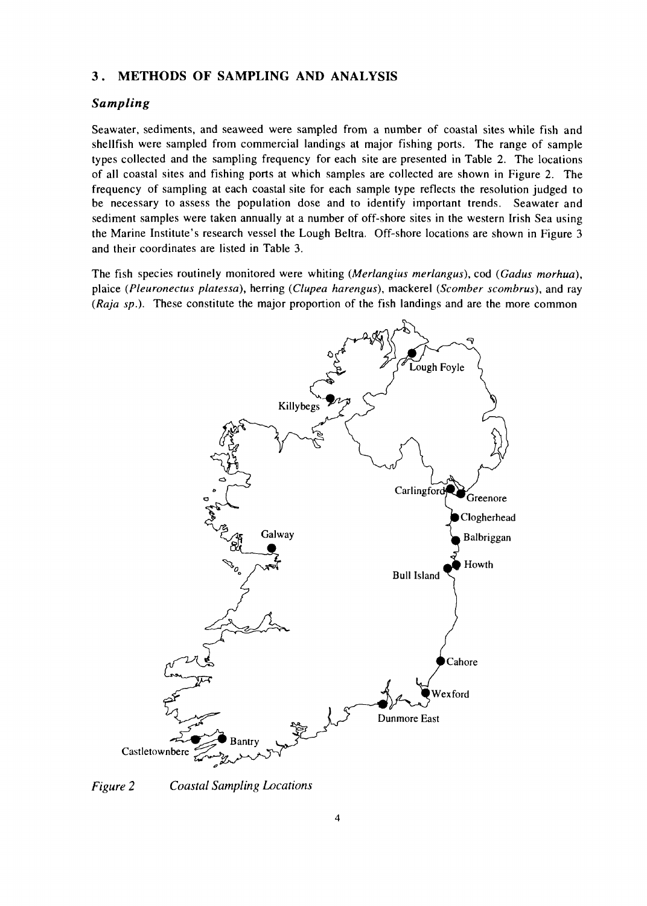#### 3 . METHODS OF SAMPLING AND ANALYSIS

#### *Sampling*

Seawater, sediments, and seaweed were sampled from a number of coastal sites while fish and shellfish were sampled from commercial landings at major fishing ports. The range of sample types collected and the sampling frequency for each site are presented in Table 2. The locations of all coastal sites and fishing ports at which samples are collected are shown in Figure 2. The frequency of sampling at each coastal site for each sample type reflects the resolution judged to be necessary to assess the population dose and to identify important trends. Seawater and sediment samples were taken annually at a number of off-shore sites in the western Irish Sea using the Marine Institute's research vessel the Lough Beltra. Off-shore locations are shown in Figure 3 and their coordinates are listed in Table 3.

The fish species routinely monitored were whiting *(Merlangius merlangus),* cod *(Gadus morhua),* plaice *(Pleuronectus platessa),* herring *{Clupea harengus),* mackerel *(Scomber scombrus),* and ray *(Raja sp).* These constitute the major proportion of the fish landings and are the more common



*Figure 2 Coastal Sampling Locations*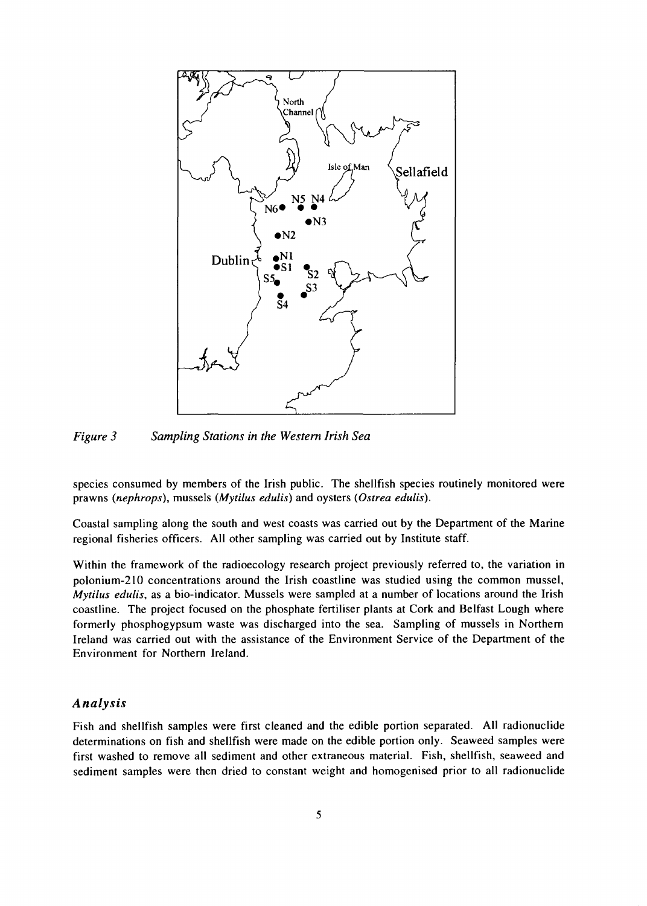

*Figure 3 Sampling Stations in the Western Irish Sea*

species consumed by members of the Irish public. The shellfish species routinely monitored were prawns (nephrops), mussels (Mytilus edulis) and oysters (Ostrea edulis).

Coastal sampling along the south and west coasts was carried out by the Department of the Marine regional fisheries officers. All other sampling was carried out by Institute staff.

Within the framework of the radioecology research project previously referred to, the variation in polonium-210 concentrations around the Irish coastline was studied using the common mussel, *Mytilus edulis,* as a bio-indicator. Mussels were sampled at a number of locations around the Irish coastline. The project focused on the phosphate fertiliser plants at Cork and Belfast Lough where formerly phosphogypsum waste was discharged into the sea. Sampling of mussels in Northern Ireland was carried out with the assistance of the Environment Service of the Department of the Environment for Northern Ireland.

# *Analysis*

Fish and shellfish samples were first cleaned and the edible portion separated. All radionuclide determinations on fish and shellfish were made on the edible portion only. Seaweed samples were first washed to remove all sediment and other extraneous material. Fish, shellfish, seaweed and sediment samples were then dried to constant weight and homogenised prior to all radionuclide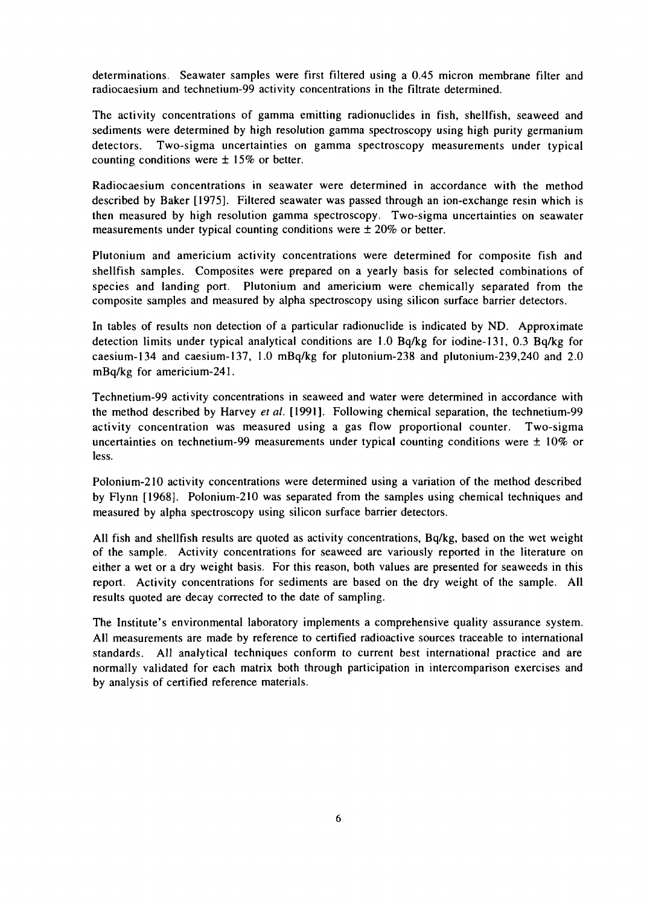determinations. Seawater samples were first filtered using a 0.45 micron membrane filter and radiocaesium and technetium-99 activity concentrations in the filtrate determined.

The activity concentrations of gamma emitting radionuclides in fish, shellfish, seaweed and sediments were determined by high resolution gamma spectroscopy using high purity germanium detectors. Two-sigma uncertainties on gamma spectroscopy measurements under typical counting conditions were  $\pm$  15% or better.

Radiocaesium concentrations in seawater were determined in accordance with the method described by Baker [1975]. Filtered seawater was passed through an ion-exchange resin which is then measured by high resolution gamma spectroscopy. Two-sigma uncertainties on seawater measurements under typical counting conditions were  $\pm 20\%$  or better.

Plutonium and americium activity concentrations were determined for composite fish and shellfish samples. Composites were prepared on a yearly basis for selected combinations of species and landing port. Plutonium and americium were chemically separated from the composite samples and measured by alpha spectroscopy using silicon surface barrier detectors.

In tables of results non detection of a particular radionuclide is indicated by ND. Approximate detection limits under typical analytical conditions are 1.0 Bq/kg for iodine-131, 0.3 Bq/kg for caesium-134 and caesium-137, 1.0 mBq/kg for plutonium-238 and plutonium-239,240 and 2.0 mBq/kg for americium-241.

Technetium-99 activity concentrations in seaweed and water were determined in accordance with the method described by Harvey *et al.* [1991]. Following chemical separation, the technetium-99 activity concentration was measured using a gas flow proportional counter. Two-sigma uncertainties on technetium-99 measurements under typical counting conditions were  $\pm$  10% or less.

Polonium-210 activity concentrations were determined using a variation of the method described by Flynn [1968]. Polonium-210 was separated from the samples using chemical techniques and measured by alpha spectroscopy using silicon surface barrier detectors.

All fish and shellfish results are quoted as activity concentrations, Bq/kg, based on the wet weight of the sample. Activity concentrations for seaweed are variously reported in the literature on either a wet or a dry weight basis. For this reason, both values are presented for seaweeds in this report. Activity concentrations for sediments are based on the dry weight of the sample. All results quoted are decay corrected to the date of sampling.

The Institute's environmental laboratory implements a comprehensive quality assurance system. All measurements are made by reference to certified radioactive sources traceable to international standards. All analytical techniques conform to current best international practice and are normally validated for each matrix both through participation in intercomparison exercises and by analysis of certified reference materials.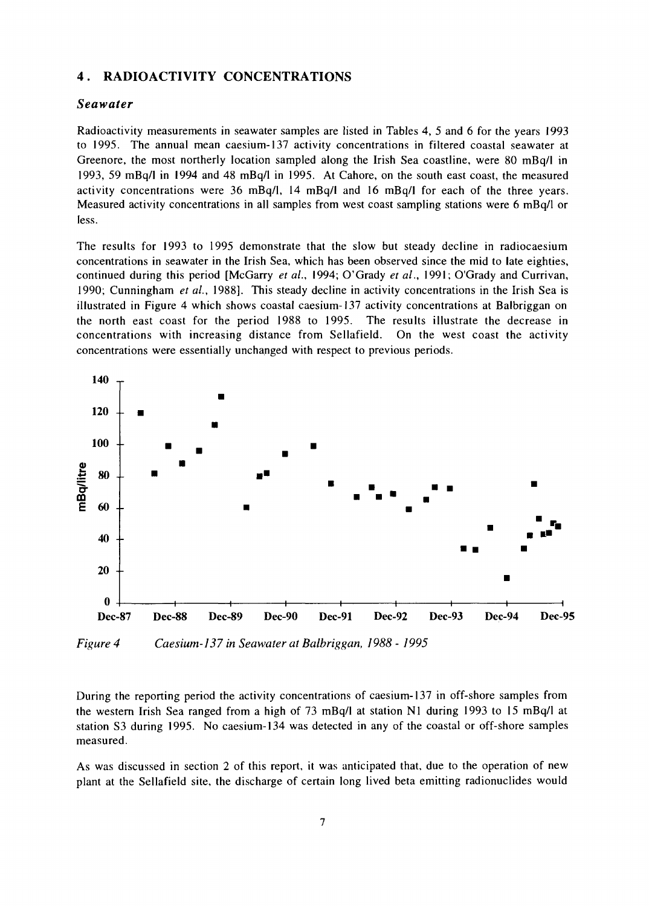#### **4 . RADIOACTIVITY CONCENTRATIONS**

#### *Seawater*

Radioactivity measurements in seawater samples are listed in Tables 4, 5 and 6 for the years 1993 to 1995. The annual mean caesium-137 activity concentrations in filtered coastal seawater at Greenore, the most northerly location sampled along the Irish Sea coastline, were 80 mBq/1 in 1993, 59 mBq/1 in 1994 and 48 mBq/1 in 1995. At Cahore, on the south east coast, the measured activity concentrations were 36 mBq/1, 14 mBq/1 and 16 mBq/1 for each of the three years. Measured activity concentrations in all samples from west coast sampling stations were 6 mBq/1 or less.

The results for 1993 to 1995 demonstrate that the slow but steady decline in radiocaesium concentrations in seawater in the Irish Sea, which has been observed since the mid to late eighties, continued during this period [McGarry *et al.,* 1994; O'Grady *et al.,* 1991; O'Grady and Currivan, 1990; Cunningham *et al.,* 1988]. This steady decline in activity concentrations in the Irish Sea is illustrated in Figure 4 which shows coastal caesium-137 activity concentrations at Balbriggan on the north east coast for the period 1988 to 1995. The results illustrate the decrease in concentrations with increasing distance from Sellafield. On the west coast the activity concentrations were essentially unchanged with respect to previous periods.



*Figure 4 Caesium-137 in Seawater at Balbriggan, 1988 - 1995*

During the reporting period the activity concentrations of caesium-137 in off-shore samples from the western Irish Sea ranged from a high of 73 mBq/1 at station Nl during 1993 to 15 mBq/1 at station S3 during 1995. No caesium-134 was detected in any of the coastal or off-shore samples measured.

As was discussed in section 2 of this report, it was anticipated that, due to the operation of new plant at the Sellafield site, the discharge of certain long lived beta emitting radionuclides would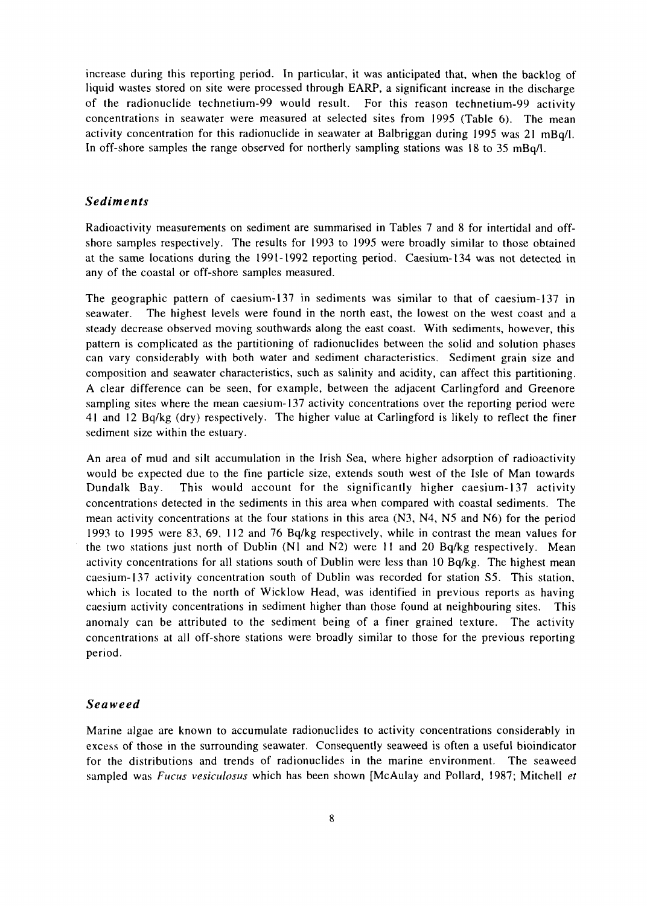increase during this reporting period. In particular, it was anticipated that, when the backlog of liquid wastes stored on site were processed through EARP, a significant increase in the discharge of the radionuclide technetium-99 would result. For this reason technetium-99 activity concentrations in seawater were measured at selected sites from 1995 (Table 6). The mean activity concentration for this radionuclide in seawater at Balbriggan during 1995 was 21 mBq/1. In off-shore samples the range observed for northerly sampling stations was 18 to 35 mBq/1.

#### *Sediments*

Radioactivity measurements on sediment are summarised in Tables 7 and 8 for intertidal and offshore samples respectively. The results for 1993 to 1995 were broadly similar to those obtained at the same locations during the 1991-1992 reporting period. Caesium-134 was not detected in any of the coastal or off-shore samples measured.

The geographic pattern of caesium-137 in sediments was similar to that of caesium-137 in seawater. The highest levels were found in the north east, the lowest on the west coast and a steady decrease observed moving southwards along the east coast. With sediments, however, this pattern is complicated as the partitioning of radionuclides between the solid and solution phases can vary considerably with both water and sediment characteristics. Sediment grain size and composition and seawater characteristics, such as salinity and acidity, can affect this partitioning. A clear difference can be seen, for example, between the adjacent Carlingford and Greenore sampling sites where the mean caesium-137 activity concentrations over the reporting period were 41 and 12 Bq/kg (dry) respectively. The higher value at Carlingford is likely to reflect the finer sediment size within the estuary.

An area of mud and silt accumulation in the Irish Sea, where higher adsorption of radioactivity would be expected due to the fine particle size, extends south west of the Isle of Man towards Dundalk Bay. This would account for the significantly higher caesium-137 activity concentrations detected in the sediments in this area when compared with coastal sediments. The mean activity concentrations at the four stations in this area (N3, N4, N5 and N6) for the period 1993 to 1995 were 83, 69, 112 and 76 Bq/kg respectively, while in contrast the mean values for the two stations just north of Dublin (Nl and N2) were 11 and 20 Bq/kg respectively. Mean activity concentrations for all stations south of Dublin were less than 10 Bq/kg. The highest mean caesium-137 activity concentration south of Dublin was recorded for station S5. This station, which is located to the north of Wicklow Head, was identified in previous reports as having caesium activity concentrations in sediment higher than those found at neighbouring sites. This anomaly can be attributed to the sediment being of a finer grained texture. The activity concentrations at all off-shore stations were broadly similar to those for the previous reporting period.

#### *Seaweed*

Marine algae are known to accumulate radionuclides to activity concentrations considerably in excess of those in the surrounding seawater. Consequently seaweed is often a useful bioindicator for the distributions and trends of radionuclides in the marine environment. The seaweed sampled was *Fucus vesiculosus* which has been shown [McAulay and Pollard, 1987; Mitchell *et*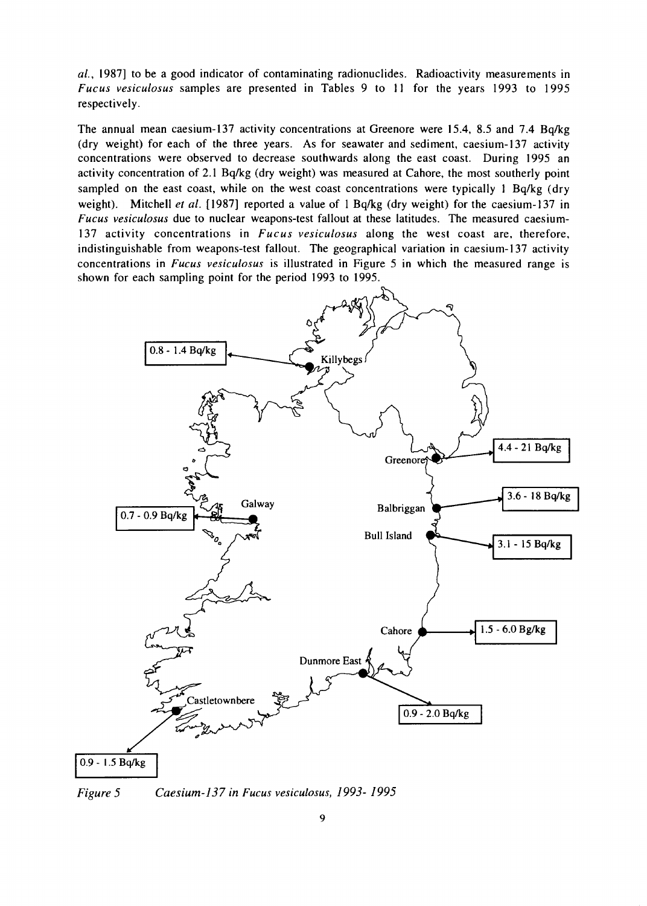*ai,* 1987] to be a good indicator of contaminating radionuclides. Radioactivity measurements in *Fucus vesiculosus* samples are presented in Tables 9 to 11 for the years 1993 to 1995 respectively.

The annual mean caesium-137 activity concentrations at Greenore were 15.4, 8.5 and 7.4 Bq/kg (dry weight) for each of the three years. As for seawater and sediment, caesium-137 activity concentrations were observed to decrease southwards along the east coast. During 1995 an activity concentration of 2.1 Bq/kg (dry weight) was measured at Cahore, the most southerly point sampled on the east coast, while on the west coast concentrations were typically 1 Bq/kg (dry weight). Mitchell *et al.* [1987] reported a value of 1 Bq/kg (dry weight) for the caesium-137 in *Fucus vesiculosus* due to nuclear weapons-test fallout at these latitudes. The measured caesium-137 activity concentrations in *Fucus vesiculosus* along the west coast are, therefore, indistinguishable from weapons-test fallout. The geographical variation in caesium-137 activity concentrations in *Fucus vesiculosus* is illustrated in Figure 5 in which the measured range is shown for each sampling point for the period 1993 to 1995.



*Figure 5 Caesium-137 in Fucus vesiculosus, 1993- 1995*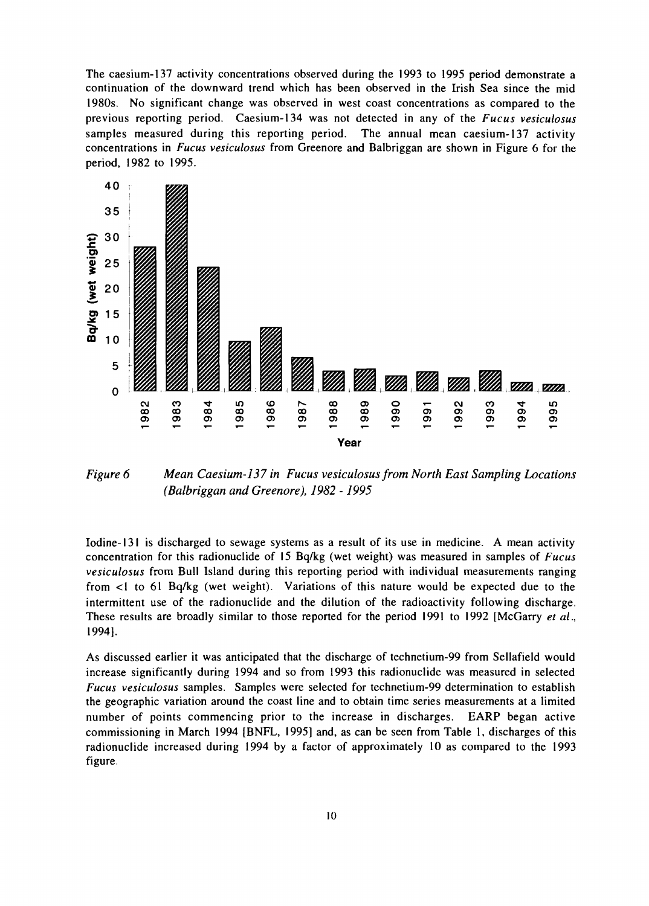The caesium-137 activity concentrations observed during the 1993 to 1995 period demonstrate a continuation of the downward trend which has been observed in the Irish Sea since the mid 1980s. No significant change was observed in west coast concentrations as compared to the previous reporting period. Caesium-134 was not detected in any of the *Fucus vesiculosus* samples measured during this reporting period. The annual mean caesium-137 activity concentrations in *Fucus vesiculosus* from Greenore and Balbriggan are shown in Figure 6 for the period, 1982 to 1995.



*Figure 6 Mean Caesium-137 in Fucus vesiculosus from North East Sampling Locations (Balbriggan and Greenore), 1982 -1995*

Iodine-131 is discharged to sewage systems as a result of its use in medicine. A mean activity concentration for this radionuclide of 15 Bq/kg (wet weight) was measured in samples of *Fucus vesiculosus* from Bull Island during this reporting period with individual measurements ranging from <1 to 61 Bq/kg (wet weight). Variations of this nature would be expected due to the intermittent use of the radionuclide and the dilution of the radioactivity following discharge. These results are broadly similar to those reported for the period 1991 to 1992 [McGarry *et al.,* 1994].

As discussed earlier it was anticipated that the discharge of technetium-99 from Sellafield would increase significantly during 1994 and so from 1993 this radionuclide was measured in selected *Fucus vesiculosus* samples. Samples were selected for technetium-99 determination to establish the geographic variation around the coast line and to obtain time series measurements at a limited number of points commencing prior to the increase in discharges. EARP began active commissioning in March 1994 [BNFL, 1995] and, as can be seen from Table 1, discharges of this radionuclide increased during 1994 by a factor of approximately 10 as compared to the 1993 figure.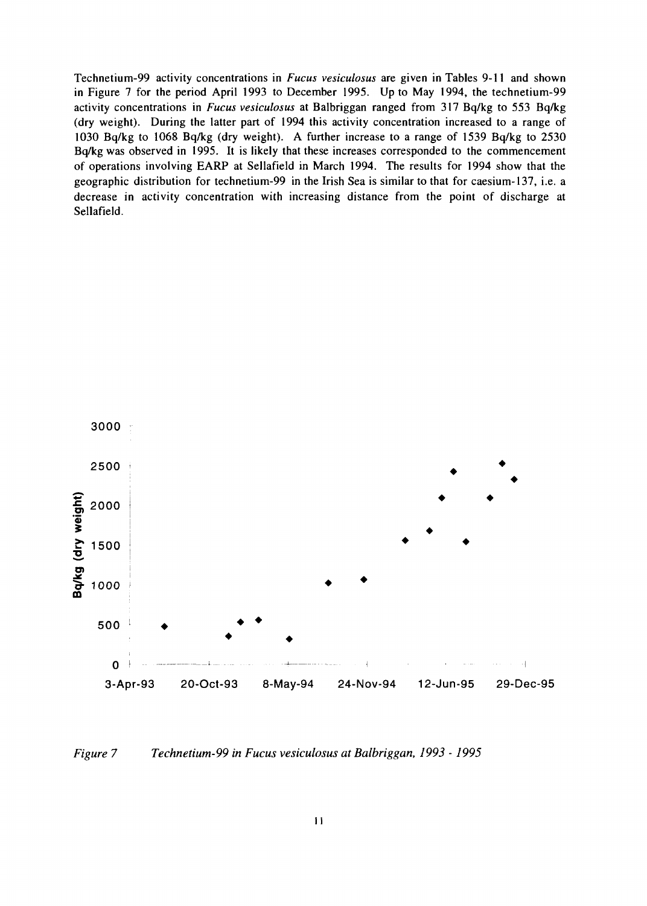Technetium-99 activity concentrations in *Fucus vesiculosus* are given in Tables 9-11 and shown in Figure 7 for the period April 1993 to December 1995. Up to May 1994, the technetium-99 activity concentrations in *Fucus vesiculosus* at Balbriggan ranged from 317 Bq/kg to 553 Bq/kg (dry weight). During the latter part of 1994 this activity concentration increased to a range of 1030 Bq/kg to 1068 Bq/kg (dry weight). A further increase to a range of 1539 Bq/kg to 2530 Bq/kg was observed in 1995. It is likely that these increases corresponded to the commencement of operations involving EARP at Sellafield in March 1994. The results for 1994 show that the geographic distribution for technetium-99 in the Irish Sea is similar to that for caesium-137, i.e. a decrease in activity concentration with increasing distance from the point of discharge at Sellafield.



*Figure 7 Technetium-99 in Fucus vesiculosus at Balbriggan, 1993 -1995*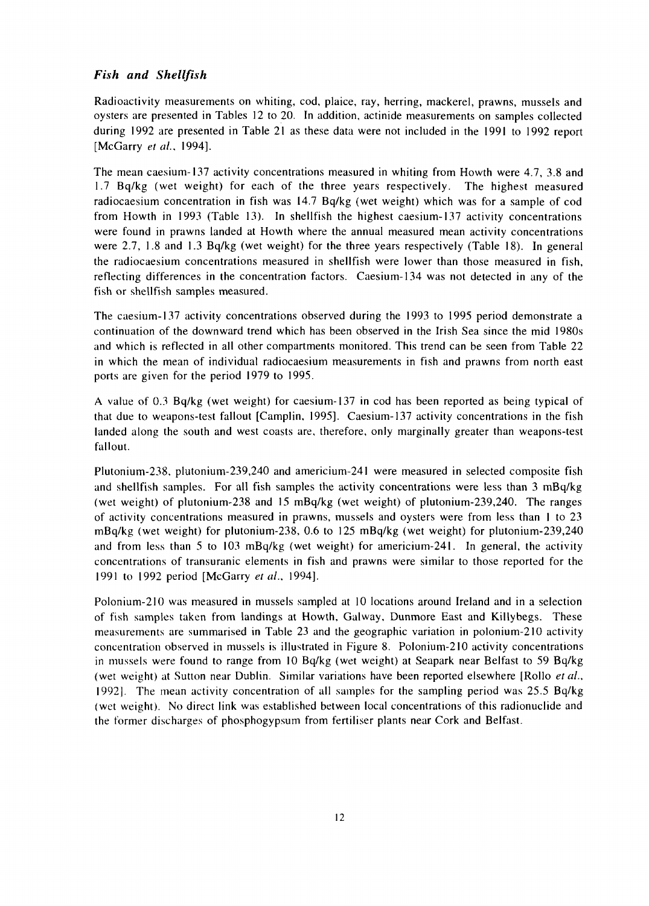# *Fish and Shellfish*

Radioactivity measurements on whiting, cod, plaice, ray, herring, mackerel, prawns, mussels and oysters are presented in Tables 12 to 20. In addition, actinide measurements on samples collected during 1992 are presented in Table 21 as these data were not included in the 1991 to 1992 report [McGarry *et ai,* 1994].

The mean caesium-137 activity concentrations measured in whiting from Howth were 4.7, 3.8 and 1.7 Bq/kg (wet weight) for each of the three years respectively. The highest measured radiocaesium concentration in fish was 14.7 Bq/kg (wet weight) which was for a sample of cod from Howth in 1993 (Table 13). In shellfish the highest caesium-137 activity concentrations were found in prawns landed at Howth where the annual measured mean activity concentrations were 2.7, 1.8 and 1.3 Bq/kg (wet weight) for the three years respectively (Table 18). In general the radiocaesium concentrations measured in shellfish were lower than those measured in fish, reflecting differences in the concentration factors. Caesium-134 was not detected in any of the fish or shellfish samples measured.

The caesium-137 activity concentrations observed during the 1993 to 1995 period demonstrate a continuation of the downward trend which has been observed in the Irish Sea since the mid 1980s and which is reflected in all other compartments monitored. This trend can be seen from Table 22 in which the mean of individual radiocaesium measurements in fish and prawns from north east ports are given for the period 1979 to 1995.

A value of 0.3 Bq/kg (wet weight) for caesium-137 in cod has been reported as being typical of that due to weapons-test fallout [Camplin, 1995]. Caesium-137 activity concentrations in the fish landed along the south and west coasts are, therefore, only marginally greater than weapons-test fallout.

Plutonium-238, plutonium-239,240 and americium-241 were measured in selected composite fish and shellfish samples. For all fish samples the activity concentrations were less than 3 mBq/kg (wet weight) of plutonium-238 and 15 mBq/kg (wet weight) of plutonium-239,240. The ranges of activity concentrations measured in prawns, mussels and oysters were from less than 1 to 23 mBq/kg (wet weight) for plutonium-238, 0.6 to 125 mBq/kg (wet weight) for plutonium-239,240 and from less than 5 to 103 mBq/kg (wet weight) for americium-241. In general, the activity concentrations of transuranic elements in fish and prawns were similar to those reported for the 1991 to 1992 period [McGarry *et id.,* 1994].

Polonium-210 was measured in mussels sampled at 10 locations around Ireland and in a selection of fish samples taken from landings at Howth, Galway, Dunmore East and Killybegs. These measurements are summarised in Table 23 and the geographic variation in polonium-210 activity concentration observed in mussels is illustrated in Figure 8. Polonium-210 activity concentrations in mussels were found to range from 10 Bq/kg (wet weight) at Seapark near Belfast to 59 Bq/kg (wet weight) at Sutton near Dublin. Similar variations have been reported elsewhere [Rollo *et al.,* 1992]. The mean activity concentration of all samples for the sampling period was 25.5 Bq/kg (wet weight). No direct link was established between local concentrations of this radionuclide and the former discharges of phosphogypsum from fertiliser plants near Cork and Belfast.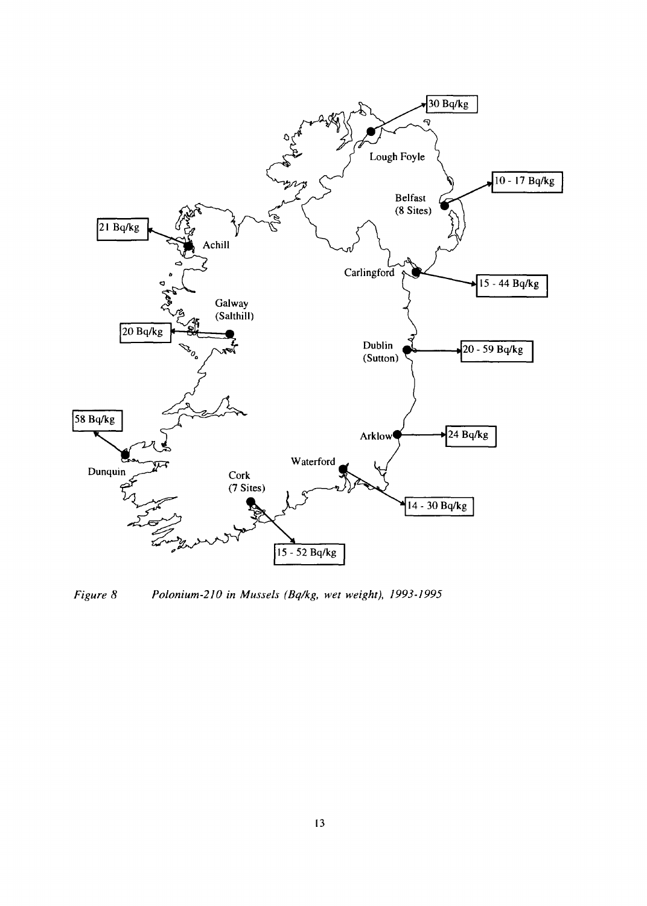

Figure 8 Polonium-210 in Mussels (Bq/kg, wet weight), 1993-1995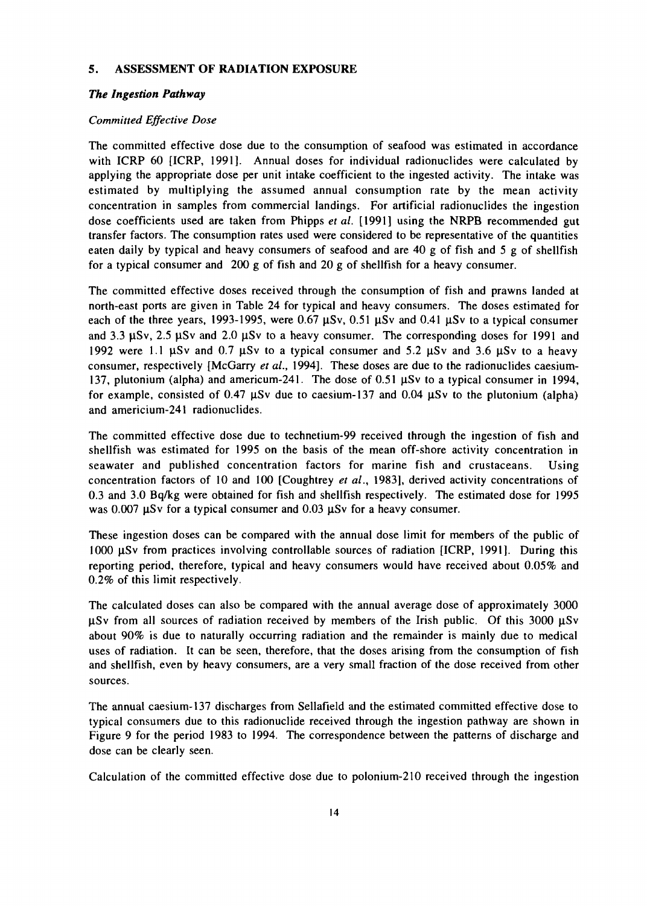#### **5. ASSESSMENT OF RADIATION EXPOSURE**

#### *The Ingestion Pathway*

#### *Committed Effective Dose*

The committed effective dose due to the consumption of seafood was estimated in accordance with ICRP 60 [ICRP, 1991]. Annual doses for individual radionuclides were calculated by applying the appropriate dose per unit intake coefficient to the ingested activity. The intake was estimated by multiplying the assumed annual consumption rate by the mean activity concentration in samples from commercial landings. For artificial radionuclides the ingestion dose coefficients used are taken from Phipps *et al.* [1991] using the NRPB recommended gut transfer factors. The consumption rates used were considered to be representative of the quantities eaten daily by typical and heavy consumers of seafood and are 40 g of fish and 5 g of shellfish for a typical consumer and 200 g of fish and 20 g of shellfish for a heavy consumer.

The committed effective doses received through the consumption of fish and prawns landed at north-east ports are given in Table 24 for typical and heavy consumers. The doses estimated for each of the three years, 1993-1995, were  $0.67 \mu Sv$ ,  $0.51 \mu Sv$  and  $0.41 \mu Sv$  to a typical consumer and 3.3  $\mu$ Sv, 2.5  $\mu$ Sv and 2.0  $\mu$ Sv to a heavy consumer. The corresponding doses for 1991 and 1992 were 1.1  $\mu$ Sv and 0.7  $\mu$ Sv to a typical consumer and 5.2  $\mu$ Sv and 3.6  $\mu$ Sv to a heavy consumer, respectively [McGarry *et al.,* 1994]. These doses are due to the radionuclides caesium-137, plutonium (alpha) and americum-241. The dose of 0.51 µSv to a typical consumer in 1994, for example, consisted of 0.47  $\mu$ Sv due to caesium-137 and 0.04  $\mu$ Sv to the plutonium (alpha) and americium-241 radionuclides.

The committed effective dose due to technetium-99 received through the ingestion of fish and shellfish was estimated for 1995 on the basis of the mean off-shore activity concentration in seawater and published concentration factors for marine fish and crustaceans. Using concentration factors of 10 and 100 [Coughtrey *et al.,* 1983], derived activity concentrations of 0.3 and 3.0 Bq/kg were obtained for fish and shellfish respectively. The estimated dose for 1995 was  $0.007 \,\mu\text{Sv}$  for a typical consumer and  $0.03 \,\mu\text{Sv}$  for a heavy consumer.

These ingestion doses can be compared with the annual dose limit for members of the public of  $1000 \mu Sv$  from practices involving controllable sources of radiation  $[ICRP, 1991]$ . During this reporting period, therefore, typical and heavy consumers would have received about 0.05% and 0.2% of this limit respectively.

The calculated doses can also be compared with the annual average dose of approximately 3000  $\mu$ Sv from all sources of radiation received by members of the Irish public. Of this 3000  $\mu$ Sv about 90% is due to naturally occurring radiation and the remainder is mainly due to medical uses of radiation. It can be seen, therefore, that the doses arising from the consumption of fish and shellfish, even by heavy consumers, are a very small fraction of the dose received from other sources.

The annual caesium-137 discharges from Sellafield and the estimated committed effective dose to typical consumers due to this radionuclide received through the ingestion pathway are shown in Figure 9 for the period 1983 to 1994. The correspondence between the patterns of discharge and dose can be clearly seen.

Calculation of the committed effective dose due to polonium-210 received through the ingestion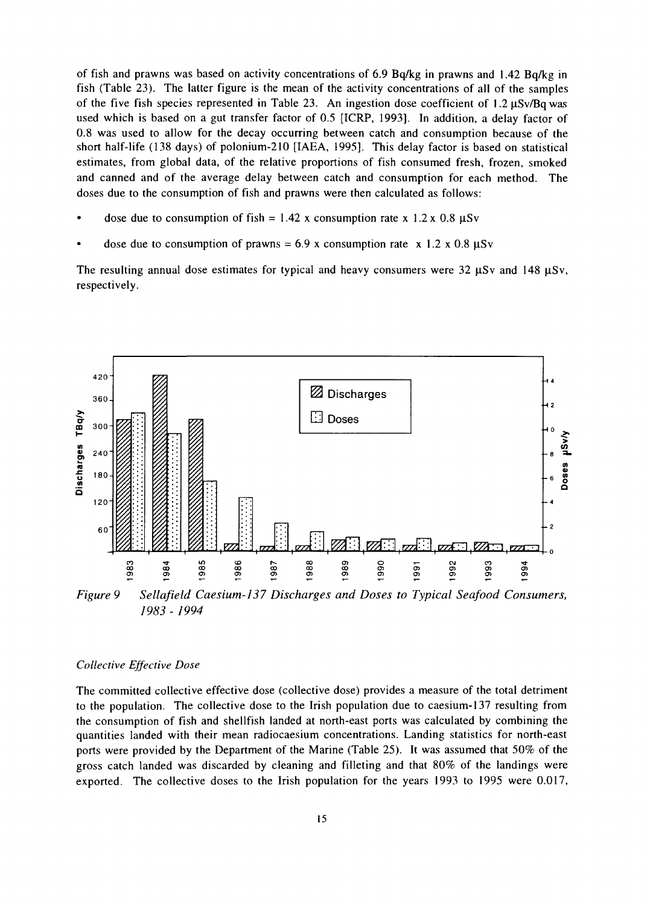of fish and prawns was based on activity concentrations of 6.9 Bq/kg in prawns and 1.42 Bq/kg in fish (Table 23). The latter figure is the mean of the activity concentrations of all of the samples of the five fish species represented in Table 23. An ingestion dose coefficient of  $1.2 \mu Sv/Bq$  was used which is based on a gut transfer factor of 0.5 [ICRP, 1993]. In addition, a delay factor of 0.8 was used to allow for the decay occurring between catch and consumption because of the short half-life (138 days) of polonium-210 [IAEA, 1995]. This delay factor is based on statistical estimates, from global data, of the relative proportions of fish consumed fresh, frozen, smoked and canned and of the average delay between catch and consumption for each method. The doses due to the consumption of fish and prawns were then calculated as follows:

- dose due to consumption of fish =  $1.42$  x consumption rate x  $1.2$  x 0.8  $\mu$ Sv
- dose due to consumption of prawns =  $6.9$  x consumption rate x 1.2 x 0.8  $\mu$ Sv

The resulting annual dose estimates for typical and heavy consumers were 32  $\mu$ Sv and 148  $\mu$ Sv, respectively.



*Figure 9 Sellafield Caesium-137 Discharges and Doses to Typical Seafood Consumers, 1983 - 1994*

#### *Collective Effective Dose*

The committed collective effective dose (collective dose) provides a measure of the total detriment to the population. The collective dose to the Irish population due to caesium-137 resulting from the consumption of fish and shellfish landed at north-east ports was calculated by combining the quantities landed with their mean radiocaesium concentrations. Landing statistics for north-east ports were provided by the Department of the Marine (Table 25). It was assumed that 50% of the gross catch landed was discarded by cleaning and filleting and that 80% of the landings were exported. The collective doses to the Irish population for the years 1993 to 1995 were 0.017,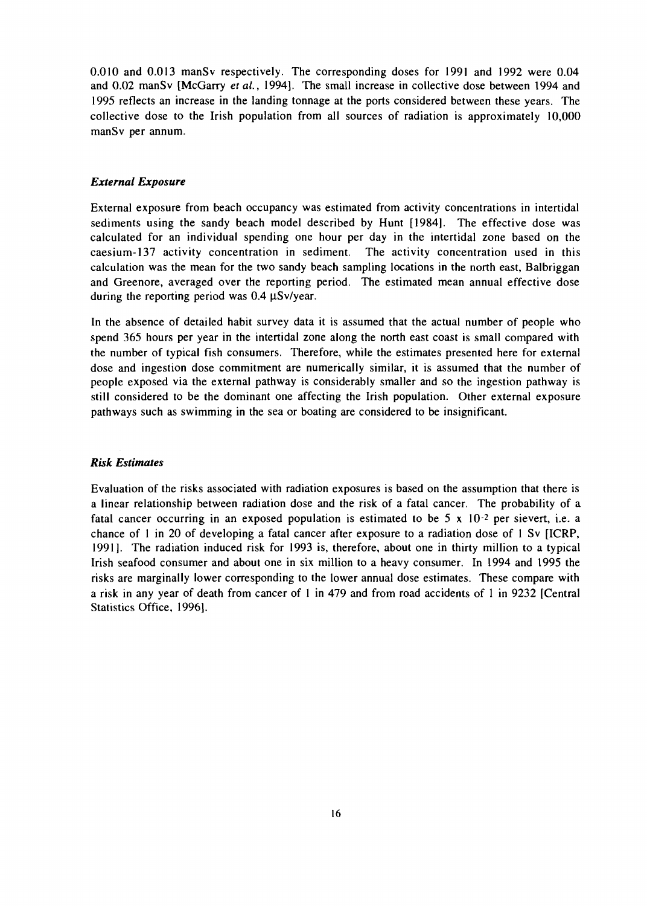0.010 and 0.013 manSv respectively. The corresponding doses for 1991 and 1992 were 0.04 and 0.02 manSv [McGarry et al., 1994]. The small increase in collective dose between 1994 and 1995 reflects an increase in the landing tonnage at the ports considered between these years. The collective dose to the Irish population from all sources of radiation is approximately 10,000 manSv per annum.

#### *External Exposure*

External exposure from beach occupancy was estimated from activity concentrations in intertidal sediments using the sandy beach model described by Hunt [1984]. The effective dose was calculated for an individual spending one hour per day in the intertidal zone based on the caesium-137 activity concentration in sediment. The activity concentration used in this calculation was the mean for the two sandy beach sampling locations in the north east, Balbriggan and Greenore, averaged over the reporting period. The estimated mean annual effective dose during the reporting period was  $0.4 \mu Sv/year$ .

In the absence of detailed habit survey data it is assumed that the actual number of people who spend 365 hours per year in the intertidal zone along the north east coast is small compared with the number of typical fish consumers. Therefore, while the estimates presented here for external dose and ingestion dose commitment are numerically similar, it is assumed that the number of people exposed via the external pathway is considerably smaller and so the ingestion pathway is still considered to be the dominant one affecting the Irish population. Other external exposure pathways such as swimming in the sea or boating are considered to be insignificant.

#### *Risk Estimates*

Evaluation of the risks associated with radiation exposures is based on the assumption that there is a linear relationship between radiation dose and the risk of a fatal cancer. The probability of a fatal cancer occurring in an exposed population is estimated to be  $5 \times 10^{-2}$  per sievert, i.e. a chance of 1 in 20 of developing a fatal cancer after exposure to a radiation dose of 1 Sv [ICRP, 1991]. The radiation induced risk for 1993 is, therefore, about one in thirty million to a typical Irish seafood consumer and about one in six million to a heavy consumer. In 1994 and 1995 the risks are marginally lower corresponding to the lower annual dose estimates. These compare with a risk in any year of death from cancer of 1 in 479 and from road accidents of 1 in 9232 [Central Statistics Office, 1996].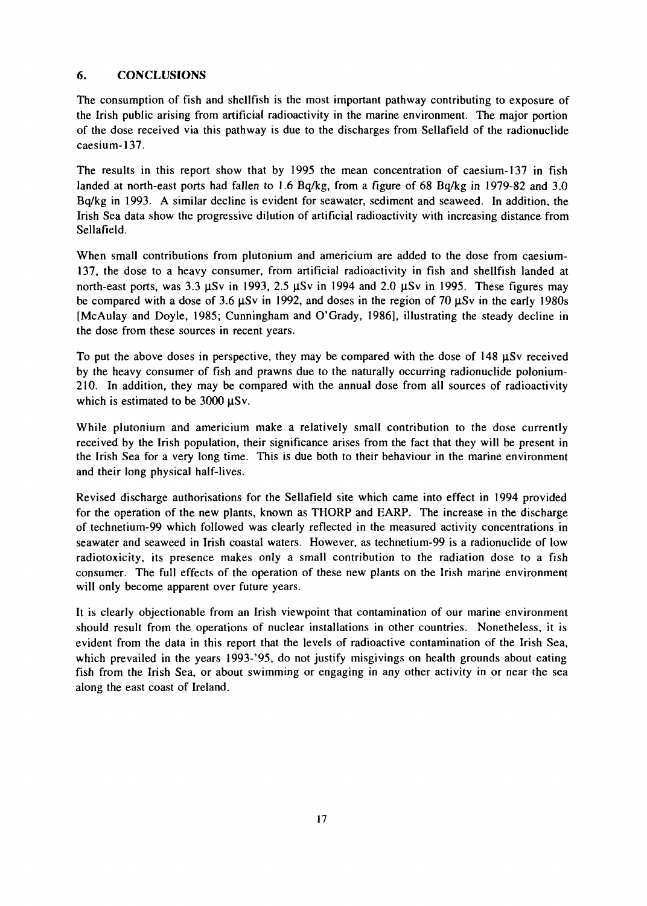# **6. CONCLUSIONS**

The consumption of fish and shellfish is the most important pathway contributing to exposure of the Irish public arising from artificial radioactivity in the marine environment. The major portion of the dose received via this pathway is due to the discharges from Sellafield of the radionuclide caesium-137.

The results in this report show that by 1995 the mean concentration of caesium-137 in fish landed at north-east ports had fallen to 1.6 Bq/kg, from a figure of 68 Bq/kg in 1979-82 and 3.0 Bq/kg in 1993. A similar decline is evident for seawater, sediment and seaweed. In addition, the Irish Sea data show the progressive dilution of artificial radioactivity with increasing distance from Sellafield.

When small contributions from plutonium and americium are added to the dose from caesium-137, the dose to a heavy consumer, from artificial radioactivity in fish and shellfish landed at north-east ports, was  $3.3 \mu Sv$  in 1993,  $2.5 \mu Sv$  in 1994 and  $2.0 \mu Sv$  in 1995. These figures may be compared with a dose of 3.6  $\mu$ Sv in 1992, and doses in the region of 70  $\mu$ Sv in the early 1980s [McAulay and Doyle, 1985; Cunningham and O'Grady, 1986], illustrating the steady decline in the dose from these sources in recent years.

To put the above doses in perspective, they may be compared with the dose of  $148 \mu Sv$  received by the heavy consumer of fish and prawns due to the naturally occurring radionuclide polonium-210. In addition, they may be compared with the annual dose from all sources of radioactivity which is estimated to be 3000  $\mu$ Sv.

While plutonium and americium make a relatively small contribution to the dose currently received by the Irish population, their significance arises from the fact that they will be present in the Irish Sea for a very long time. This is due both to their behaviour in the marine environment and their long physical half-lives.

Revised discharge authorisations for the Sellafield site which came into effect in 1994 provided for the operation of the new plants, known as THORP and EARP. The increase in the discharge of technetium-99 which followed was clearly reflected in the measured activity concentrations in seawater and seaweed in Irish coastal waters. However, as technetium-99 is a radionuclide of low radiotoxicity, its presence makes only a small contribution to the radiation dose to a fish consumer. The full effects of the operation of these new plants on the Irish marine environment will only become apparent over future years.

It is clearly objectionable from an Irish viewpoint that contamination of our marine environment should result from the operations of nuclear installations in other countries. Nonetheless, it is evident from the data in this report that the levels of radioactive contamination of the Irish Sea, which prevailed in the years 1993-'95, do not justify misgivings on health grounds about eating fish from the Irish Sea, or about swimming or engaging in any other activity in or near the sea along the east coast of Ireland.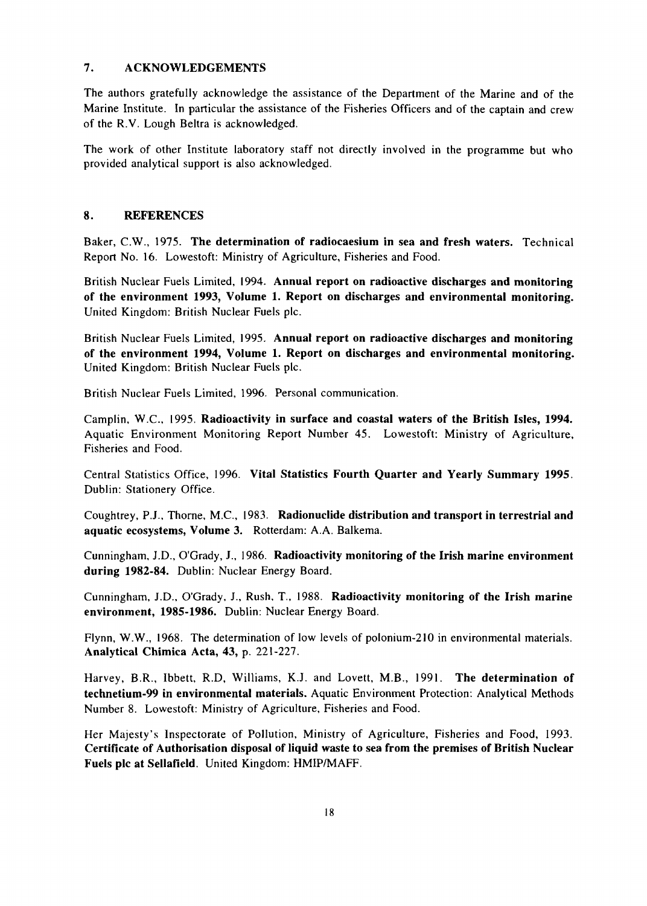# 7. ACKNOWLEDGEMENTS

The authors gratefully acknowledge the assistance of the Department of the Marine and of the Marine Institute. In particular the assistance of the Fisheries Officers and of the captain and crew of the R.V. Lough Beltra is acknowledged.

The work of other Institute laboratory staff not directly involved in the programme but who provided analytical support is also acknowledged.

#### 8. REFERENCES

Baker, C.W., 1975. **The determination of radiocaesium in sea and fresh waters.** Technical Report No. 16. Lowestoft: Ministry of Agriculture, Fisheries and Food.

British Nuclear Fuels Limited, 1994. **Annual report on radioactive discharges and monitoring of the environment 1993, Volume 1. Report on discharges and environmental monitoring.** United Kingdom: British Nuclear Fuels pic.

British Nuclear Fuels Limited, 1995. **Annual report on radioactive discharges and monitoring of the environment 1994, Volume 1. Report on discharges and environmental monitoring.** United Kingdom: British Nuclear Fuels pic.

British Nuclear Fuels Limited, 1996. Personal communication.

Camplin, W.C., 1995. **Radioactivity in surface and coastal waters of the British Isles, 1994.** Aquatic Environment Monitoring Report Number 45. Lowestoft: Ministry of Agriculture, Fisheries and Food.

Central Statistics Office, 1996. **Vital Statistics Fourth Quarter and Yearly Summary 1995.** Dublin: Stationery Office.

Coughtrey, P.J., Thorne, M.C., 1983. **Radionuclide distribution and transport in terrestrial and aquatic ecosystems, Volume** 3. Rotterdam: A.A. Balkema.

Cunningham, J.D., O'Grady, J., 1986. **Radioactivity monitoring of the Irish marine environment during 1982-84.** Dublin: Nuclear Energy Board.

Cunningham, J.D., O'Grady, J., Rush, T., 1988. **Radioactivity monitoring of the Irish marine environment, 1985-1986.** Dublin: Nuclear Energy Board.

Flynn, W.W., 1968. The determination of low levels of polonium-210 in environmental materials. **Analytical Chimica Acta, 43,** p. 221-227.

Harvey, B.R., Ibbett, R.D, Williams, K.J. and Lovett, M.B., 1991. **The determination of technetium-99 in environmental materials.** Aquatic Environment Protection: Analytical Methods Number 8. Lowestoft: Ministry of Agriculture, Fisheries and Food.

Her Majesty's Inspectorate of Pollution, Ministry of Agriculture, Fisheries and Food, 1993. **Certificate of Authorisation disposal of liquid waste to sea from the premises of British Nuclear Fuels pic at Sellafield.** United Kingdom: HMIP/MAFF.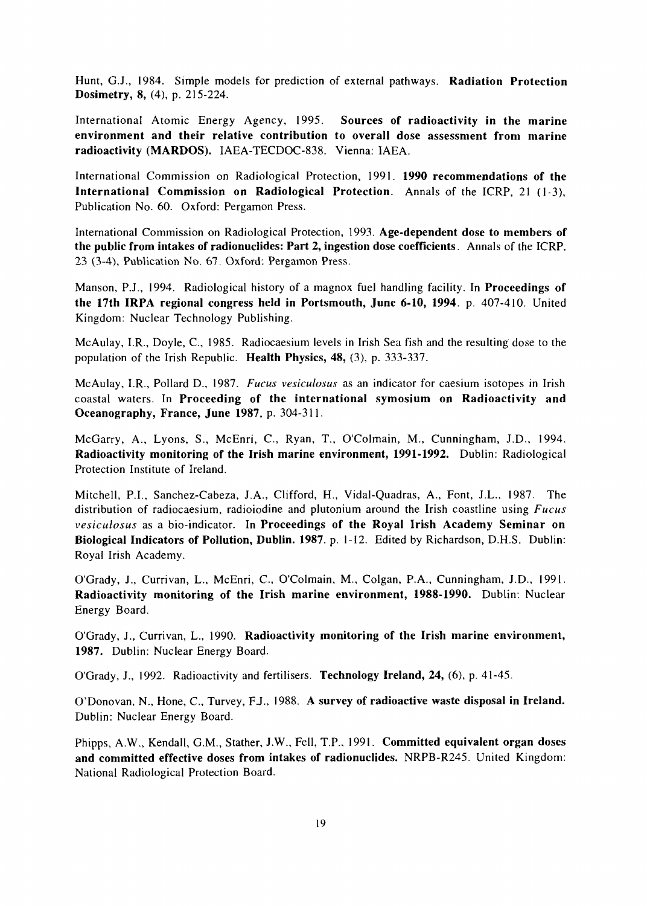Hunt, G.J., 1984. Simple models for prediction of external pathways. **Radiation Protection Dosimetry, 8,** (4), p. 215-224.

International Atomic Energy Agency, 1995. **Sources of radioactivity in the marine environment and their relative contribution to overall dose assessment from marine radioactivity (MARDOS).** IAEA-TECDOC-838. Vienna: IAEA.

International Commission on Radiological Protection, 1991. **1990 recommendations of the International Commission on Radiological Protection.** Annals of the ICRP, 21 (1-3), Publication No. 60. Oxford: Pergamon Press.

International Commission on Radiological Protection, 1993. **Age-dependent dose to members of the public from intakes of radionuclides: Part 2, ingestion dose coefficients.** Annals of the ICRP, 23 (3-4), Publication No. 67. Oxford: Pergamon Press.

Manson, P.J., 1994. Radiological history of a magnox fuel handling facility. In **Proceedings of the 17th IRPA regional congress held in Portsmouth, June 6-10, 1994.** p. 407-410. United Kingdom: Nuclear Technology Publishing.

McAulay, I.R., Doyle, C, 1985. Radiocaesium levels in Irish Sea fish and the resulting dose to the population of the Irish Republic. **Health Physics, 48,** (3), p. 333-337.

McAulay, I.R., Pollard D., 1987. *Fucus vesiculosus* as an indicator for caesium isotopes in Irish coastal waters. In **Proceeding of the international symosium on Radioactivity and Oceanography, France, June 1987,** p. 304-311.

McGarry, A., Lyons, S., McEnri, C, Ryan, T., O'Colmain, M., Cunningham, J.D., 1994. **Radioactivity monitoring of the Irish marine environment, 1991-1992.** Dublin: Radiological Protection Institute of Ireland.

Mitchell, P.I., Sanchez-Cabeza, J.A., Clifford, H., Vidal-Quadras, A., Font, J.L., 1987. The distribution of radiocaesium, radioiodine and plutonium around the Irish coastline using *Fucus vesiculosus* as a bio-indicator. In **Proceedings of the Royal Irish Academy Seminar on Biological Indicators of Pollution, Dublin. 1987.** p. 1-12. Edited by Richardson, D.H.S. Dublin: Royal Irish Academy.

O'Grady, J., Currivan, L., McEnri, C, O'Colmain, M., Colgan, P.A., Cunningham, J.D., 1991. **Radioactivity monitoring of the Irish marine environment, 1988-1990.** Dublin. Nuclear Energy Board.

O'Grady, J., Currivan, L., 1990. **Radioactivity monitoring of the Irish marine environment, 1987.** Dublin: Nuclear Energy Board.

O'Grady, J., 1992. Radioactivity and fertilisers. **Technology Ireland, 24,** (6), p. 41-45.

O'Donovan, N., Hone, C, Turvey, F.J., 1988. **A survey of radioactive waste disposal in Ireland.** Dublin: Nuclear Energy Board.

Phipps, A.W., Kendall, G.M., Stather, J.W., Fell, T.P., 1991. **Committed equivalent organ doses and committed effective doses from intakes of radionuclides.** NRPB-R245. United Kingdom: National Radiological Protection Board.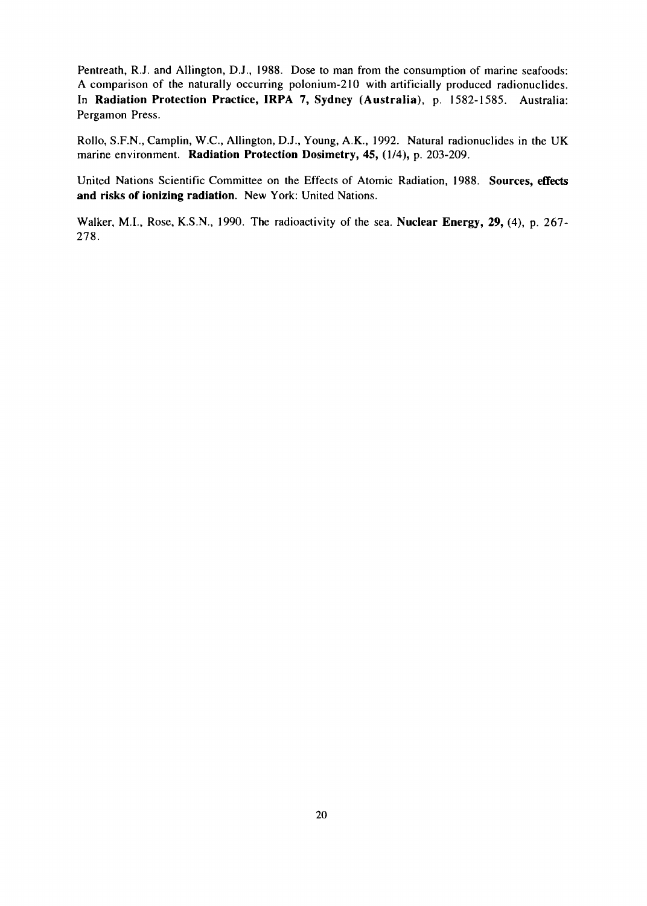Pentreath, R.J. and Allington, D.J., 1988. Dose to man from the consumption of marine seafoods: A comparison of the naturally occurring polonium-210 with artificially produced radionuclides. In **Radiation Protection Practice, IRPA 7, Sydney (Australia),** p. 1582-1585. Australia: Pergamon Press.

Rollo, S.F.N., Camplin, W.C., Allington, D.J., Young, A.K., 1992. Natural radionuclides in the UK marine environment. **Radiation Protection Dosimetry, 45,** (1/4), p. 203-209.

United Nations Scientific Committee on the Effects of Atomic Radiation, 1988. **Sources, effects and risks of ionizing radiation.** New York: United Nations.

Walker, M.I., Rose, K.S.N., 1990. The radioactivity of the sea. **Nuclear Energy, 29, (4), p.** 267- 278.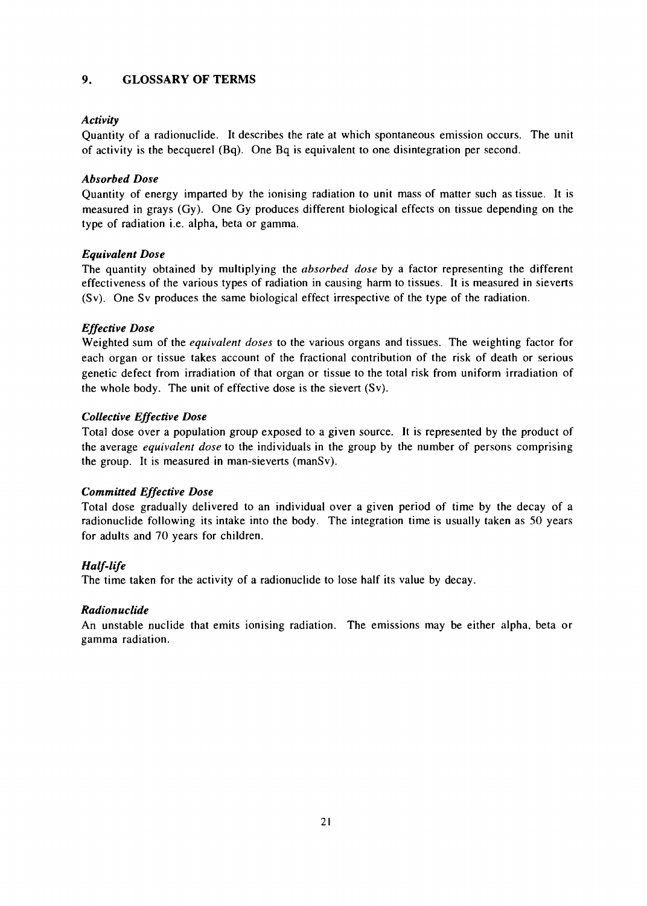# **9. GLOSSARY OF TERMS**

#### *Activity*

Quantity of a radionuclide. It describes the rate at which spontaneous emission occurs. The unit of activity is the becquerel (Bq). One Bq is equivalent to one disintegration per second.

#### *Absorbed Dose*

Quantity of energy imparted by the ionising radiation to unit mass of matter such as tissue. It is measured in grays (Gy). One Gy produces different biological effects on tissue depending on the type of radiation i.e. alpha, beta or gamma.

#### *Equivalent Dose*

The quantity obtained by multiplying the *absorbed dose* by a factor representing the different effectiveness of the various types of radiation in causing harm to tissues. It is measured in sieverts (Sv). One Sv produces the same biological effect irrespective of the type of the radiation.

# *Effective Dose*

Weighted sum of the *equivalent doses* to the various organs and tissues. The weighting factor for each organ or tissue takes account of the fractional contribution of the risk of death or serious genetic defect from irradiation of that organ or tissue to the total risk from uniform irradiation of the whole body. The **unit** of effective dose is the sievert (Sv).

#### *Collective Effective Dose*

Total dose over a population group exposed to a given source. It is represented by the product of the average *equivalent dose* to the individuals in the group by the number of persons comprising the group. It is measured **in** man-sieverts (manSv).

# *Committed Effective Dose*

Total dose gradually delivered to an individual over a given period of time by the decay of a radionuclide following its intake into the body. The integration time is usually taken as 50 years for adults and 70 years for children.

# *Half-life*

The time taken for the activity of a radionuclide to lose half its value by decay.

#### *Radionuclide*

An unstable nuclide that emits ionising radiation. The emissions may be either alpha, beta or gamma radiation.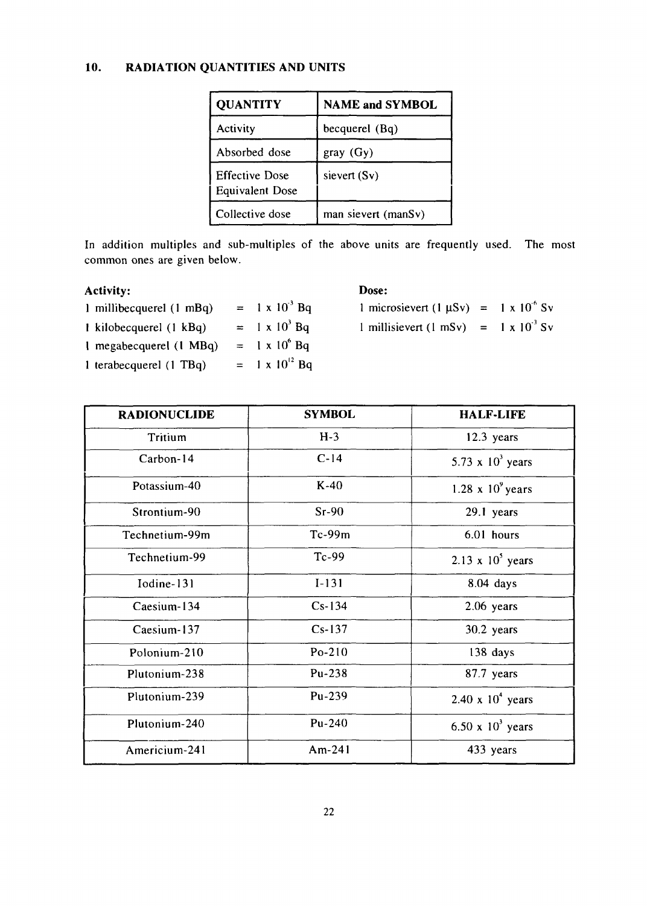#### **10. RADIATION QUANTITIES AND UNITS**

| <b>QUANTITY</b>                                 | <b>NAME and SYMBOL</b> |  |
|-------------------------------------------------|------------------------|--|
| Activity                                        | becquerel (Bq)         |  |
| Absorbed dose                                   | gray(Gy)               |  |
| <b>Effective Dose</b><br><b>Equivalent Dose</b> | sievert (Sv)           |  |
| Collective dose                                 | man sievert (manSv)    |  |

In addition multiples and sub-multiples of the above units are frequently used. The most common ones are given below.

# Activity:

| 1 millibecquerel (1 mBq) | $= 1 \times 10^{3}$ Bq  |
|--------------------------|-------------------------|
| 1 kilobecquerel (1 kBq)  | $= 1 \times 10^3$ Bq    |
| I megabecquerel (1 MBq)  | $= 1 \times 10^6$ Bq    |
| 1 terabecquerel (1 TBq)  | $= 1 \times 10^{12}$ Bq |

# Dose:

1 microsievert (1  $\mu Sv$ ) = 1 x 10<sup>6</sup> Sv 1 millisievert (1 mSv) =  $1 \times 10^{-3}$  Sv

| <b>RADIONUCLIDE</b> | <b>SYMBOL</b> | <b>HALF-LIFE</b>           |
|---------------------|---------------|----------------------------|
| Tritium             | $H-3$         | $12.3$ years               |
| Carbon-14           | $C-14$        | 5.73 x $103$ years         |
| Potassium-40        | $K-40$        | $1.28 \times 10^9$ years   |
| Strontium-90        | $Sr-90$       | 29.1 years                 |
| Technetium-99m      | $Tc-99m$      | 6.01 hours                 |
| Technetium-99       | $Tc-99$       | $2.13 \times 10^{5}$ years |
| Iodine-131          | $I-131$       | 8.04 days                  |
| Caesium-134         | $Cs-134$      | $2.06$ years               |
| Caesium-137         | $Cs-137$      | 30.2 years                 |
| Polonium-210        | $Po-210$      | 138 days                   |
| Plutonium-238       | Pu-238        | 87.7 years                 |
| Plutonium-239       | Pu-239        | $2.40 \times 10^{4}$ years |
| Plutonium-240       | Pu-240        | 6.50 x $10^3$ years        |
| Americium-241       | Am-24 $1$     | 433 years                  |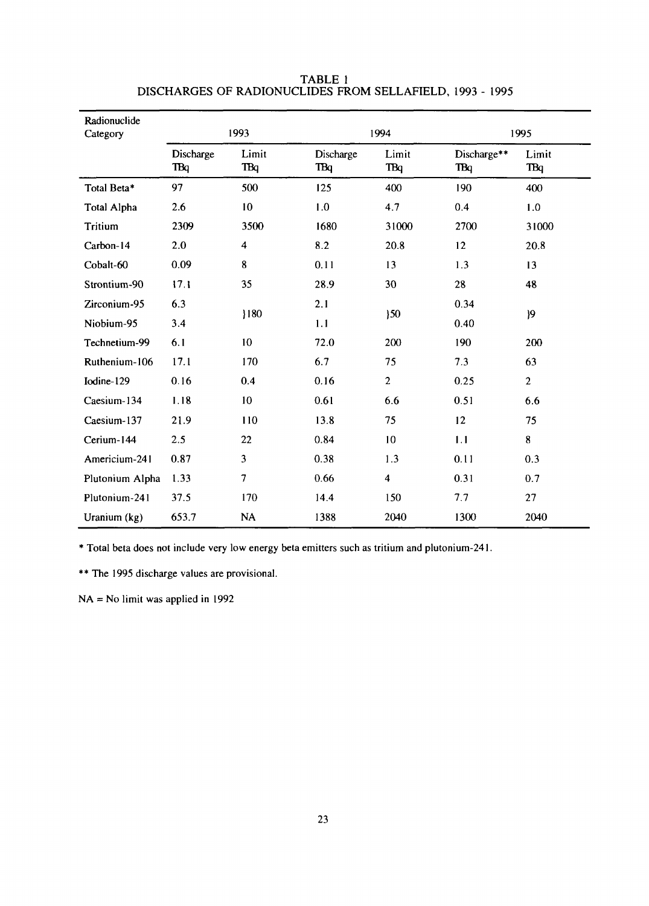| Radionuclide<br>Category | 1993                    |                     | 1994                    |                         | 1995                      |                |
|--------------------------|-------------------------|---------------------|-------------------------|-------------------------|---------------------------|----------------|
|                          | Discharge<br><b>TBq</b> | Limit<br><b>TBq</b> | Discharge<br><b>TBq</b> | Limit<br><b>TBq</b>     | Discharge**<br><b>TBq</b> | Limit<br>TBq   |
| Total Beta*              | 97                      | 500                 | 125                     | 400                     | 190                       | 400            |
| Total Alpha              | 2.6                     | 10                  | 1.0                     | 4.7                     | 0.4                       | 1.0            |
| <b>Tritium</b>           | 2309                    | 3500                | 1680                    | 31000                   | 2700                      | 31000          |
| Carbon-14                | 2.0                     | $\boldsymbol{4}$    | 8.2                     | 20.8                    | 12                        | 20.8           |
| Cobalt-60                | 0.09                    | 8                   | 0.11                    | 13                      | 1.3                       | 13             |
| Strontium-90             | 17.1                    | 35                  | 28.9                    | 30                      | 28                        | 48             |
| Zirconium-95             | 6.3                     |                     | 2.1                     |                         | 0.34                      |                |
| Niobium-95               | 3.4                     | 180                 | 1.1                     | 30 <sub>o</sub><br>0.40 |                           | 9              |
| Technetium-99            | 6.1                     | 10                  | 72.0                    | 200                     | 190                       | 200            |
| Ruthenium-106            | 17.1                    | 170                 | 6.7                     | 75                      | 7.3                       | 63             |
| Iodine-129               | 0.16                    | 0.4                 | 0.16                    | $\overline{2}$          | 0.25                      | $\overline{2}$ |
| Caesium-134              | 1.18                    | 10                  | 0.61                    | 6.6                     | 0.51                      | 6.6            |
| Caesium-137              | 21.9                    | 110                 | 13.8                    | 75                      | 12                        | 75             |
| Cerium-144               | 2.5                     | 22                  | 0.84                    | 10                      | 1.1                       | 8              |
| Americium-241            | 0.87                    | 3                   | 0.38                    | 1.3                     | 0.11                      | 0.3            |
| Plutonium Alpha          | 1.33                    | $\overline{7}$      | 0.66                    | $\overline{\mathbf{4}}$ | 0.31                      | 0.7            |
| Plutonium-241            | 37.5                    | 170                 | 14.4                    | 150                     | 7.7                       | 27             |
| Uranium (kg)             | 653.7                   | NA                  | 1388                    | 2040                    | 1300                      | 2040           |

#### TABLE 1 DISCHARGES OF RADIONUCLIDES FROM SELLAFIELD, 1993 - 1995

\* Total beta does not include very low energy beta emitters such as tritium and plutonium-241.

\*\* The 1995 discharge values are provisional.

 $NA = No$  limit was applied in 1992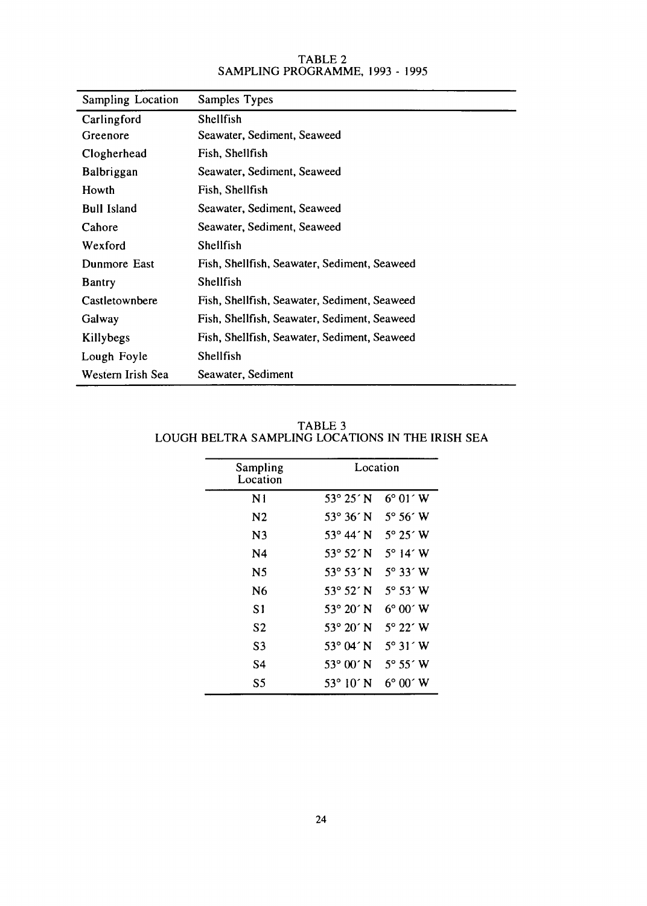| Sampling Location  | Samples Types                                |  |  |  |
|--------------------|----------------------------------------------|--|--|--|
| Carlingford        | Shellfish                                    |  |  |  |
| Greenore           | Seawater, Sediment, Seaweed                  |  |  |  |
| Clogherhead        | Fish, Shellfish                              |  |  |  |
| <b>Balbriggan</b>  | Seawater, Sediment, Seaweed                  |  |  |  |
| Howth              | Fish, Shellfish                              |  |  |  |
| <b>Bull Island</b> | Seawater, Sediment, Seaweed                  |  |  |  |
| Cahore             | Seawater, Sediment, Seaweed                  |  |  |  |
| Wexford            | Shellfish                                    |  |  |  |
| Dunmore East       | Fish, Shellfish, Seawater, Sediment, Seaweed |  |  |  |
| <b>Bantry</b>      | Shellfish                                    |  |  |  |
| Castletownbere     | Fish, Shellfish, Seawater, Sediment, Seaweed |  |  |  |
| Galway             | Fish, Shellfish, Seawater, Sediment, Seaweed |  |  |  |
| Killybegs          | Fish, Shellfish, Seawater, Sediment, Seaweed |  |  |  |
| Lough Foyle        | Shellfish                                    |  |  |  |
| Western Irish Sea  | Seawater, Sediment                           |  |  |  |

#### TABLE 2 SAMPLING PROGRAMME, 1993 - 1995

TABLE 3 LOUGH BELTRA SAMPLING LOCATIONS IN THE IRISH SEA

| Sampling<br>Location | Location                     |                              |
|----------------------|------------------------------|------------------------------|
| N1                   | $53^{\circ} 25' N$           | $6^{\circ}$ 01 $^{\circ}$ W  |
| N <sub>2</sub>       | 53° 36' N                    | $5^{\circ} 56^{\prime}$ W    |
| N <sub>3</sub>       | 53° 44′ N                    | $5^{\circ}$ 25 $^{\circ}$ W  |
| N <sub>4</sub>       | $53^{\circ} 52' N$           | $5^\circ$ 14 $\degree$ W     |
| N5                   | $53^{\circ} 53' N$           | $5^\circ$ 33 $\degree$ W     |
| N6                   | $53^{\circ} 52' N$           | $5^{\circ}$ 53 $^{\circ}$ W  |
| S1                   | 53° 20' N                    | $6^{\circ} 00^{\circ}$ W     |
| S2                   | 53° 20' N                    | $5^\circ$ 22 $\degree$ W     |
| S3                   | $53^\circ$ 04 $\degree$ N    | $5^{\circ}$ 31 $^{\prime}$ W |
| S4                   | $53^{\circ}$ 00 $^{\circ}$ N | 5° 55' W                     |
| S <sub>5</sub>       | $53^{\circ} 10' N$           | $6^{\circ} 00^{\circ}$ W     |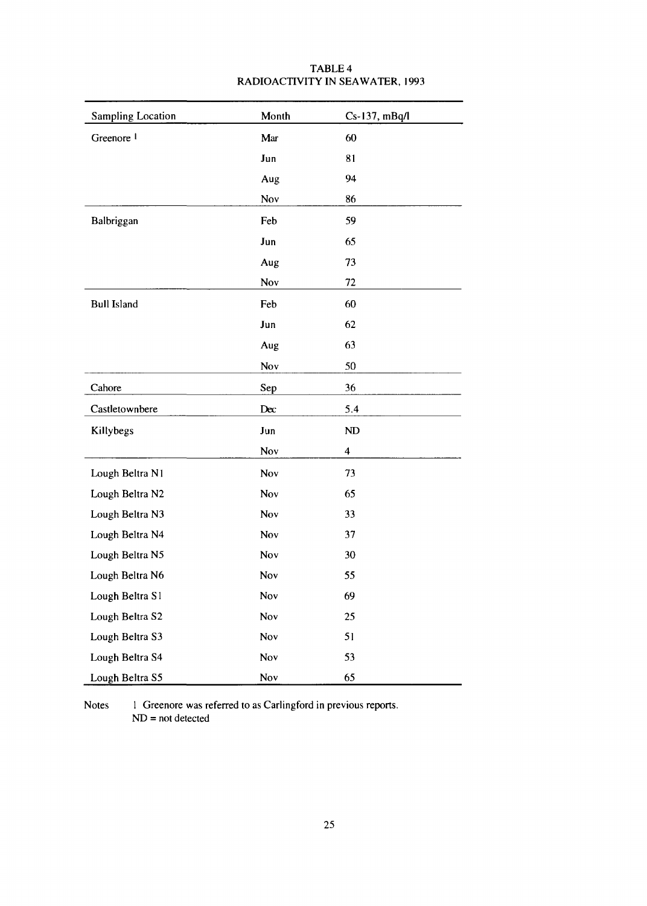| <b>Sampling Location</b> | Month | Cs-137, mBq/l |
|--------------------------|-------|---------------|
| Greenore <sup>1</sup>    | Mar   | 60            |
|                          | Jun   | 81            |
|                          | Aug   | 94            |
|                          | Nov   | 86            |
| Balbriggan               | Feb   | 59            |
|                          | Jun   | 65            |
|                          | Aug   | 73            |
|                          | Nov   | 72            |
| <b>Bull Island</b>       | Feb   | 60            |
|                          | Jun   | 62            |
|                          | Aug   | 63            |
|                          | Nov   | 50            |
| Cahore                   | Sep   | 36            |
| Castletownbere           | Dec   | 5.4           |
| Killybegs                | Jun   | ND            |
|                          | Nov   | 4             |
| Lough Beltra N1          | Nov   | 73            |
| Lough Beltra N2          | Nov   | 65            |
| Lough Beltra N3          | Nov   | 33            |
| Lough Beltra N4          | Nov   | 37            |
| Lough Beltra N5          | Nov   | 30            |
| Lough Beltra N6          | Nov   | 55            |
| Lough Beltra S1          | Nov   | 69            |
| Lough Beltra S2          | Nov   | 25            |
| Lough Beltra S3          | Nov   | 51            |
| Lough Beltra S4          | Nov   | 53            |
| Lough Beltra S5          | Nov   | 65            |

# TABLE 4 RADIOACTIVITY IN SEAWATER, 1993

Notes 1 Greenore was referred to as Carlingford in previous reports. ND = not detected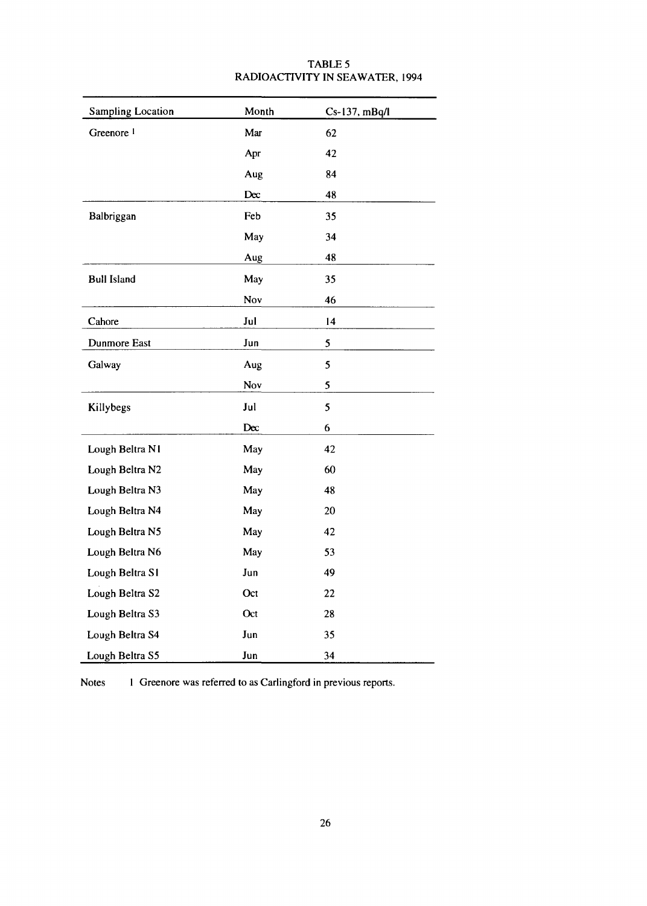| <b>Sampling Location</b> | Month     | Cs-137, mBq/l   |
|--------------------------|-----------|-----------------|
| Greenore <sup>1</sup>    | Mar       | 62              |
|                          | Apr       | 42              |
|                          | Aug       | 84              |
|                          | Dec       | 48              |
| Balbriggan               | Feb       | 35              |
|                          | May       | 34              |
|                          | Aug       | 48              |
| <b>Bull Island</b>       | May       | 35              |
|                          | Nov       | 46              |
| Cahore                   | Jul       | $\overline{14}$ |
| <b>Dunmore East</b>      | Jun       | 5               |
| Galway                   | Aug       | 5               |
|                          | Nov       | 5               |
| Killybegs                | Jul       | 5               |
|                          | $D\alpha$ | 6               |
| Lough Beltra N1          | May       | 42              |
| Lough Beltra N2          | May       | 60              |
| Lough Beltra N3          | May       | 48              |
| Lough Beltra N4          | May       | 20              |
| Lough Beltra N5          | May       | 42              |
| Lough Beltra N6          | May       | 53              |
| Lough Beltra S1          | Jun       | 49              |
| Lough Beltra S2          | Oct       | 22              |
| Lough Beltra S3          | Oct       | 28              |
| Lough Beltra S4          | Jun       | 35              |
| Lough Beltra S5          | Jun       | 34              |

# TABLE 5 RADIOACTIVITY IN SEAWATER, 1994

Notes I Greenore was referred to as Carlingford in previous reports.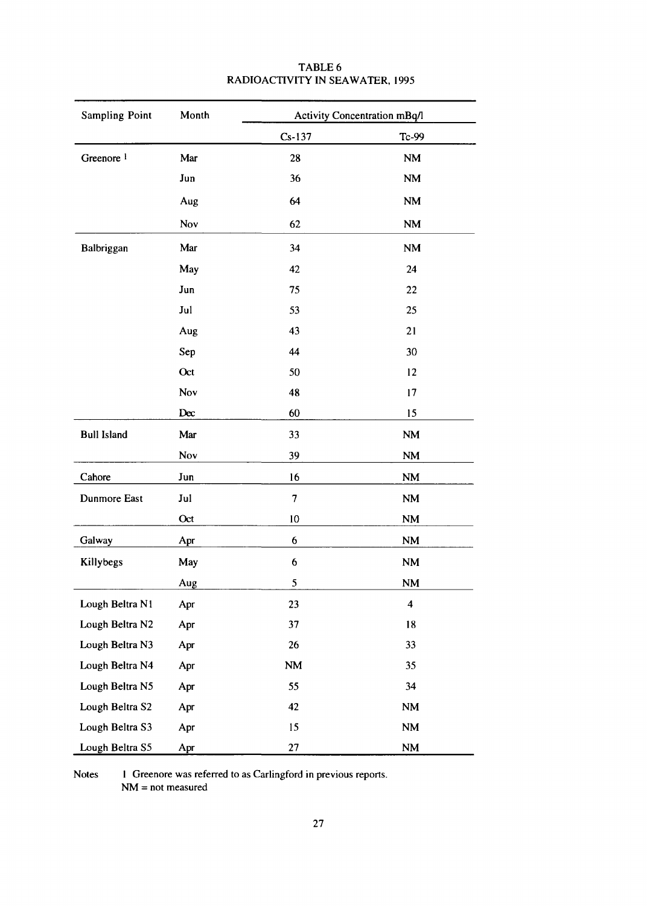| <b>Sampling Point</b> | Month |               | Activity Concentration mBq/l |
|-----------------------|-------|---------------|------------------------------|
|                       |       | $Cs-137$      | Tc-99                        |
| Greenore <sup>1</sup> | Mar   | 28            | NM                           |
|                       | Jun   | 36            | NM                           |
|                       | Aug   | 64            | NM                           |
|                       | Nov   | 62            | NM                           |
| Balbriggan            | Mar   | 34            | $\mathbf{N}\mathbf{M}$       |
|                       | May   | 42            | 24                           |
|                       | Jun   | 75            | 22                           |
|                       | Jul   | 53            | 25                           |
|                       | Aug   | 43            | 21                           |
|                       | Sep   | 44            | 30                           |
|                       | Oct   | 50            | 12                           |
|                       | Nov   | 48            | 17                           |
|                       | Dec   | 60            | 15                           |
| <b>Bull Island</b>    | Mar   | 33            | <b>NM</b>                    |
|                       | Nov   | 39            | NM                           |
| Cahore                | Jun   | 16            | NM                           |
| Dunmore East          | Jul   | 7             | <b>NM</b>                    |
|                       | Oct   | 10            | $\mathbf{N}\mathbf{M}$       |
| Galway                | Apr   | 6             | <b>NM</b>                    |
| Killybegs             | May   | 6             | $\mathbf{NM}$                |
|                       | Aug   | 5             | <b>NM</b>                    |
| Lough Beltra N1       | Apr   | 23            | $\overline{\mathbf{4}}$      |
| Lough Beltra N2       | Apr   | 37            | 18                           |
| Lough Beltra N3       | Apr   | 26            | 33                           |
| Lough Beltra N4       | Apr   | $\mathbf{NM}$ | 35                           |
| Lough Beltra N5       | Apr   | 55            | 34                           |
| Lough Beltra S2       | Apr   | 42            | NM                           |
| Lough Beltra S3       | Apr   | 15            | $\mathbf{N}\mathbf{M}$       |
| Lough Beltra S5       | Apr   | 27            | NM                           |

# TABLE 6 RADIOACTIVITY IN SEAWATER, 1995

Notes 1 Greenore was referred to as Carlingford in previous reports. NM = not measured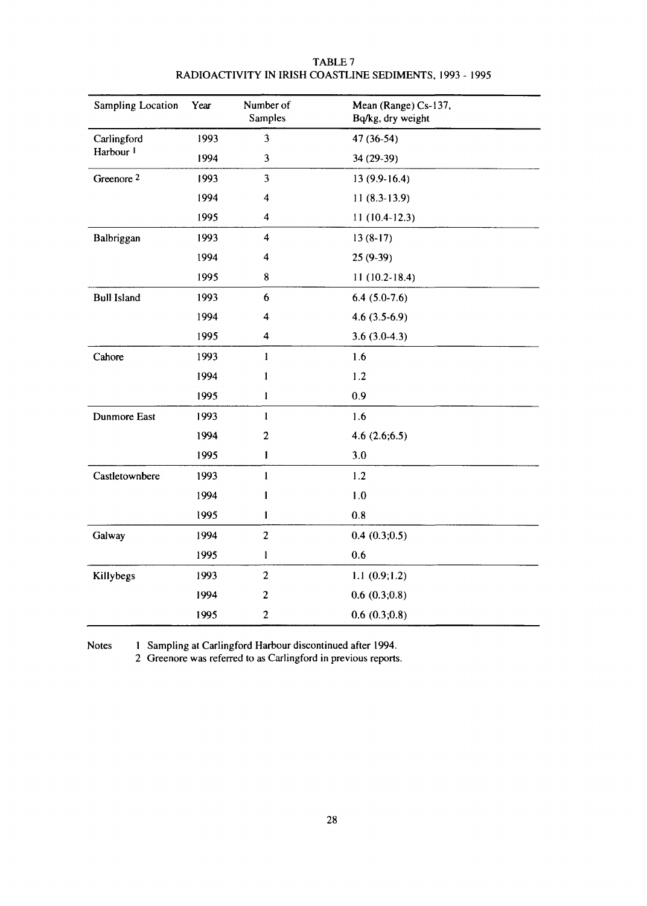| <b>Sampling Location</b> | Year | Number of<br><b>Samples</b> | Mean (Range) Cs-137,<br>Bq/kg, dry weight |
|--------------------------|------|-----------------------------|-------------------------------------------|
| Carlingford              | 1993 | 3                           | 47 (36-54)                                |
| Harbour <sup>1</sup>     | 1994 | 3                           | 34 (29-39)                                |
| Greenore <sup>2</sup>    | 1993 | 3                           | $13(9.9-16.4)$                            |
|                          | 1994 | $\overline{\mathbf{4}}$     | $11(8.3-13.9)$                            |
|                          | 1995 | $\overline{\mathbf{4}}$     | $11(10.4-12.3)$                           |
| Balbriggan               | 1993 | $\overline{\mathbf{4}}$     | $13(8-17)$                                |
|                          | 1994 | 4                           | $25(9-39)$                                |
|                          | 1995 | 8                           | $11(10.2-18.4)$                           |
| <b>Bull Island</b>       | 1993 | 6                           | $6.4(5.0-7.6)$                            |
|                          | 1994 | 4                           | $4.6(3.5-6.9)$                            |
|                          | 1995 | 4                           | $3.6(3.0-4.3)$                            |
| Cahore                   | 1993 | $\mathbf{1}$                | 1.6                                       |
|                          | 1994 | $\mathbf{1}$                | 1.2                                       |
|                          | 1995 | $\bf{l}$                    | 0.9                                       |
| Dunmore East             | 1993 | $\mathbf{I}$                | 1.6                                       |
|                          | 1994 | $\overline{2}$              | 4.6(2.6;6.5)                              |
|                          | 1995 | $\mathbf{I}$                | 3.0                                       |
| Castletownbere           | 1993 | $\mathbf{1}$                | 1.2                                       |
|                          | 1994 | 1                           | 1.0                                       |
|                          | 1995 | 1                           | 0.8                                       |
| Galway                   | 1994 | $\overline{c}$              | 0.4(0.3;0.5)                              |
|                          | 1995 | $\mathbf{I}$                | 0.6                                       |
| Killybegs                | 1993 | $\overline{c}$              | 1.1(0.9;1.2)                              |
|                          | 1994 | $\overline{c}$              | 0.6(0.3;0.8)                              |
|                          | 1995 | $\overline{c}$              | 0.6(0.3;0.8)                              |

#### TABLE 7 RADIOACTIVITY IN IRISH COASTLINE SEDIMENTS, 1993 - 1995

Notes 1 Sampling at Carlingford Harbour discontinued after 1994.

2 Greenore was referred to as Carlingford in previous reports.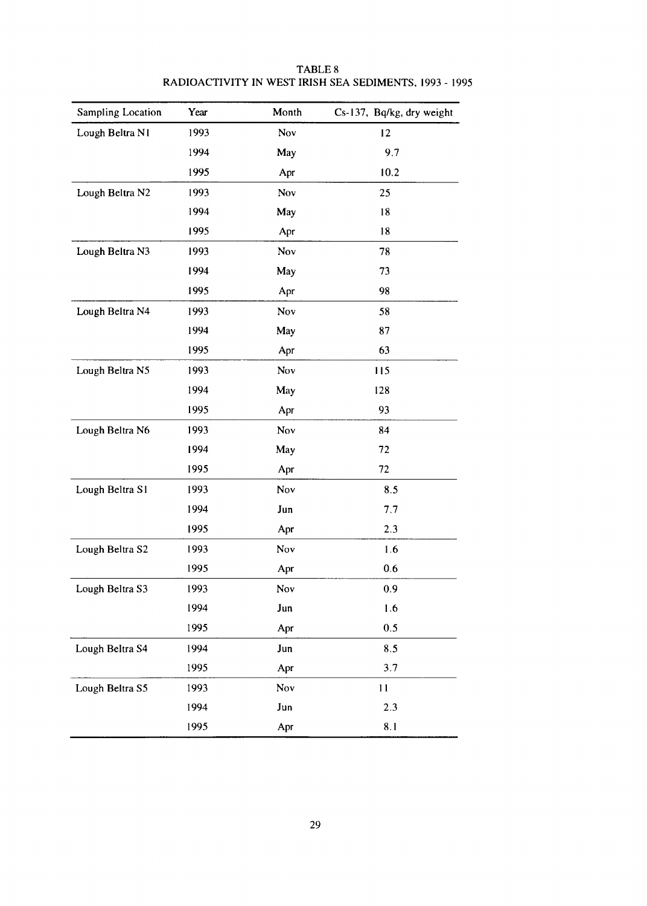| <b>Sampling Location</b> | Year | Month | Cs-137, Bq/kg, dry weight |
|--------------------------|------|-------|---------------------------|
| Lough Beltra N1          | 1993 | Nov   | 12                        |
|                          | 1994 | May   | 9.7                       |
|                          | 1995 | Apr   | 10.2                      |
| Lough Beltra N2          | 1993 | Nov   | 25                        |
|                          | 1994 | May   | 18                        |
|                          | 1995 | Apr   | 18                        |
| Lough Beltra N3          | 1993 | Nov   | 78                        |
|                          | 1994 | May   | 73                        |
|                          | 1995 | Apr   | 98                        |
| Lough Beltra N4          | 1993 | Nov   | 58                        |
|                          | 1994 | May   | 87                        |
|                          | 1995 | Apr   | 63                        |
| Lough Beltra N5          | 1993 | Nov   | 115                       |
|                          | 1994 | May   | 128                       |
|                          | 1995 | Apr   | 93                        |
| Lough Beltra N6          | 1993 | Nov   | 84                        |
|                          | 1994 | May   | 72                        |
|                          | 1995 | Apr   | 72                        |
| Lough Beltra S1          | 1993 | Nov   | 8.5                       |
|                          | 1994 | Jun   | 7.7                       |
|                          | 1995 | Apr   | 2.3                       |
| Lough Beltra S2          | 1993 | Nov   | 1.6                       |
|                          | 1995 | Apr   | 0.6                       |
| Lough Beltra S3          | 1993 | Nov   | 0.9                       |
|                          | 1994 | Jun   | 1.6                       |
|                          | 1995 | Apr   | 0.5                       |
| Lough Beltra S4          | 1994 | Jun   | 8.5                       |
|                          | 1995 | Apr   | 3.7                       |
| Lough Beltra S5          | 1993 | Nov   | 11                        |
|                          | 1994 | Jun   | 2.3                       |
|                          | 1995 | Apr   | 8.1                       |

# TABLE 8 RADIOACTIVITY IN WEST IRISH SEA SEDIMENTS, 1993 - 1995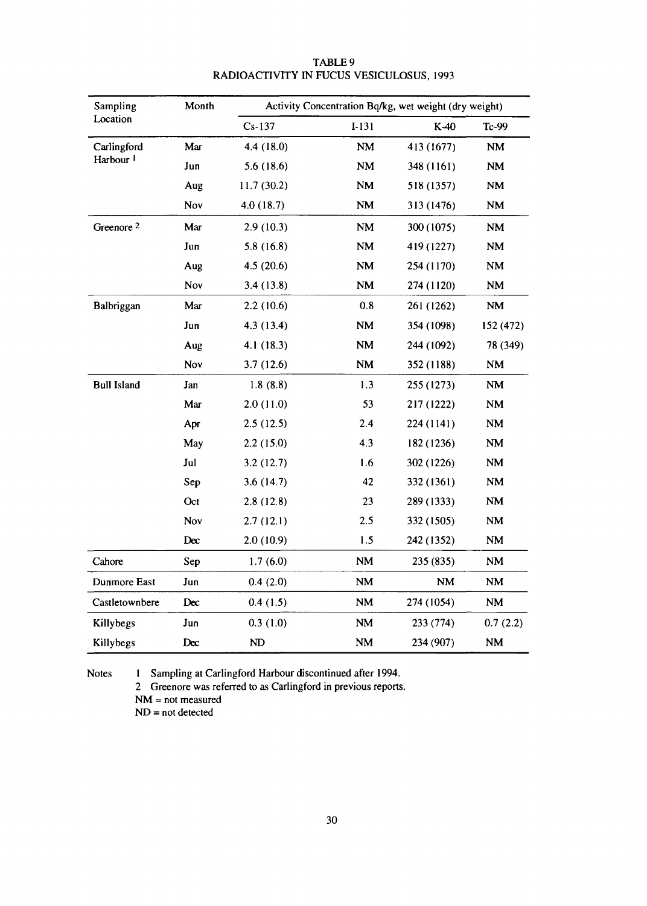| Sampling              | Month | Activity Concentration Bq/kg, wet weight (dry weight) |                        |            |                        |  |  |
|-----------------------|-------|-------------------------------------------------------|------------------------|------------|------------------------|--|--|
| Location              |       | $Cs-137$                                              | $I-131$                | K-40       | Tc-99                  |  |  |
| Carlingford           | Mar   | 4.4 (18.0)                                            | <b>NM</b>              | 413 (1677) | $\mathbf{N}\mathbf{M}$ |  |  |
| Harbour <sup>1</sup>  | Jun   | 5.6(18.6)                                             | $\mathbf{NM}$          | 348 (1161) | $\mathbf{N}\mathbf{M}$ |  |  |
|                       | Aug   | 11.7(30.2)                                            | <b>NM</b>              | 518 (1357) | NM                     |  |  |
|                       | Nov   | 4.0(18.7)                                             | NM                     | 313 (1476) | <b>NM</b>              |  |  |
| Greenore <sup>2</sup> | Mar   | 2.9(10.3)                                             | NM                     | 300 (1075) | $\mathbf{NM}$          |  |  |
|                       | Jun   | 5.8(16.8)                                             | $\mathbf{N}\mathbf{M}$ | 419 (1227) | $\mathbf{NM}$          |  |  |
|                       | Aug   | 4.5(20.6)                                             | <b>NM</b>              | 254 (1170) | $\mathbf{N}\mathbf{M}$ |  |  |
|                       | Nov   | 3.4(13.8)                                             | NM                     | 274 (1120) | NM                     |  |  |
| Balbriggan            | Mar   | 2.2(10.6)                                             | 0.8                    | 261 (1262) | $\mathbf{N}\mathbf{M}$ |  |  |
|                       | Jun   | 4.3 (13.4)                                            | NM                     | 354 (1098) | 152 (472)              |  |  |
|                       | Aug   | 4.1 (18.3)                                            | $\mathbf{NM}$          | 244 (1092) | 78 (349)               |  |  |
|                       | Nov   | 3.7(12.6)                                             | $\mathbf{NM}$          | 352 (1188) | NM                     |  |  |
| <b>Bull Island</b>    | Jan   | 1.8(8.8)                                              | 1.3                    | 255 (1273) | NM                     |  |  |
|                       | Mar   | 2.0(11.0)                                             | 53                     | 217 (1222) | $\mathbf{N}\mathbf{M}$ |  |  |
|                       | Apr   | 2.5(12.5)                                             | 2.4                    | 224 (1141) | NM                     |  |  |
|                       | May   | 2.2(15.0)                                             | 4.3                    | 182 (1236) | $\mathbf{NM}$          |  |  |
|                       | Jul   | 3.2(12.7)                                             | 1.6                    | 302 (1226) | $\mathbf{N}\mathbf{M}$ |  |  |
|                       | Sep   | 3.6(14.7)                                             | 42                     | 332 (1361) | <b>NM</b>              |  |  |
|                       | Oct   | 2.8(12.8)                                             | 23                     | 289 (1333) | <b>NM</b>              |  |  |
|                       | Nov   | 2.7(12.1)                                             | 2.5                    | 332 (1505) | $\mathbf{NM}$          |  |  |
|                       | Dec   | 2.0(10.9)                                             | 1.5                    | 242 (1352) | <b>NM</b>              |  |  |
| Cahore                | Sep   | 1.7(6.0)                                              | $\mathbf{NM}$          | 235 (835)  | $\mathbf{N}\mathbf{M}$ |  |  |
| Dunmore East          | Jun   | 0.4(2.0)                                              | $\mathbf{N}\mathbf{M}$ | NM         | $\mathbf{N}\mathbf{M}$ |  |  |
| Castletownbere        | Dec   | 0.4(1.5)                                              | NM                     | 274 (1054) | $\mathbf{N}\mathbf{M}$ |  |  |
| Killybegs             | Jun   | 0.3(1.0)                                              | NM                     | 233 (774)  | 0.7(2.2)               |  |  |
| Killybegs             | Dec   | ND                                                    | $\mathbf{N}\mathbf{M}$ | 234 (907)  | $\mathbf{NM}$          |  |  |

# TABLE 9 RADIOACTIVITY IN FUCUS VESICULOSUS, 1993

Notes 1 Sampling at Carlingford Harbour discontinued after 1994.

2 Greenore was referred to as Carlingford in previous reports.

NM = not measured

ND = not detected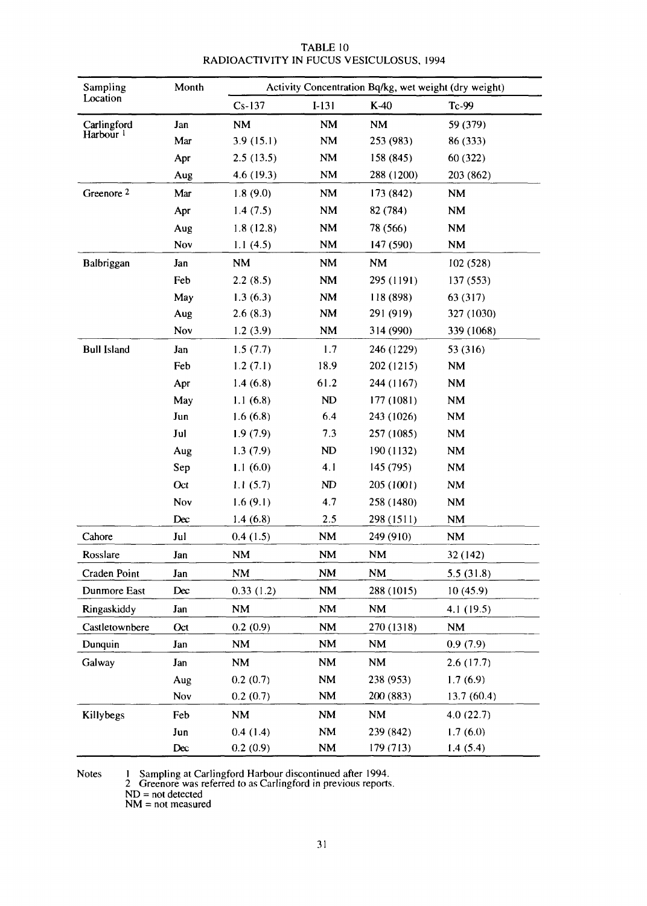| Sampling              | Month | Activity Concentration Bq/kg, wet weight (dry weight) |           |                        |                        |  |  |
|-----------------------|-------|-------------------------------------------------------|-----------|------------------------|------------------------|--|--|
| Location              |       | $Cs-137$                                              | $I-131$   | $K-40$                 | Tc-99                  |  |  |
| Carlingford           | Jan   | NM                                                    | <b>NM</b> | <b>NM</b>              | 59 (379)               |  |  |
| Harbour <sup>1</sup>  | Mar   | 3.9(15.1)                                             | <b>NM</b> | 253 (983)              | 86 (333)               |  |  |
|                       | Apr   | 2.5(13.5)                                             | <b>NM</b> | 158 (845)              | 60 (322)               |  |  |
|                       | Aug   | 4.6 (19.3)                                            | <b>NM</b> | 288 (1200)             | 203 (862)              |  |  |
| Greenore <sup>2</sup> | Mar   | 1.8(9.0)                                              | <b>NM</b> | 173 (842)              | <b>NM</b>              |  |  |
|                       | Apr   | 1.4(7.5)                                              | <b>NM</b> | 82 (784)               | <b>NM</b>              |  |  |
|                       | Aug   | 1.8(12.8)                                             | <b>NM</b> | 78 (566)               | <b>NM</b>              |  |  |
|                       | Nov   | 1.1 $(4.5)$                                           | <b>NM</b> | 147 (590)              | <b>NM</b>              |  |  |
| Balbriggan            | Jan   | <b>NM</b>                                             | <b>NM</b> | NM                     | 102 (528)              |  |  |
|                       | Feb   | 2.2(8.5)                                              | <b>NM</b> | 295 (1191)             | 137 (553)              |  |  |
|                       | May   | 1.3(6.3)                                              | <b>NM</b> | 118 (898)              | 63 (317)               |  |  |
|                       | Aug   | 2.6(8.3)                                              | <b>NM</b> | 291 (919)              | 327 (1030)             |  |  |
|                       | Nov   | 1.2(3.9)                                              | <b>NM</b> | 314 (990)              | 339 (1068)             |  |  |
| <b>Bull Island</b>    | Jan   | 1.5(7.7)                                              | 1.7       | 246 (1229)             | 53 (316)               |  |  |
|                       | Feb   | 1.2(7.1)                                              | 18.9      | 202 (1215)             | <b>NM</b>              |  |  |
|                       | Apr   | 1.4(6.8)                                              | 61.2      | 244 (1167)             | $\mathbf{N}\mathbf{M}$ |  |  |
|                       | May   | 1.1(6.8)                                              | ND        | 177 (1081)             | <b>NM</b>              |  |  |
|                       | Jun   | 1.6(6.8)                                              | 6.4       | 243 (1026)             | $\mathbf{N}\mathbf{M}$ |  |  |
|                       | Jul   | 1.9(7.9)                                              | 7.3       | 257 (1085)             | <b>NM</b>              |  |  |
|                       | Aug   | 1.3(7.9)                                              | ND        | 190 (1132)             | <b>NM</b>              |  |  |
|                       | Sep   | 1.1(6.0)                                              | 4.1       | 145 (795)              | $\mathbf{N}\mathbf{M}$ |  |  |
|                       | Oct   | 1.1(5.7)                                              | ND        | 205 (1001)             | <b>NM</b>              |  |  |
|                       | Nov   | 1.6(9.1)                                              | 4.7       | 258 (1480)             | $\mathbf{N}\mathbf{M}$ |  |  |
|                       | Dec   | 1.4(6.8)                                              | 2.5       | 298 (1511)             | <b>NM</b>              |  |  |
| Cahore                | Jul   | 0.4(1.5)                                              | NM        | 249 (910)              | <b>NM</b>              |  |  |
| Rosslare              | Jan   | NM                                                    | NM        | <b>NM</b>              | 32 (142)               |  |  |
| Craden Point          | Jan   | <b>NM</b>                                             | <b>NM</b> | $\mathbf{N}\mathbf{M}$ | 5.5(31.8)              |  |  |
| Dunmore East          | Dec   | 0.33(1.2)                                             | NM        | 288 (1015)             | 10(45.9)               |  |  |
| Ringaskiddy           | Jan   | <b>NM</b>                                             | NM        | <b>NM</b>              | 4.1 (19.5)             |  |  |
| Castletownbere        | Oct   | 0.2(0.9)                                              | <b>NM</b> | 270 (1318)             | <b>NM</b>              |  |  |
| Dunquin               | Jan   | NM                                                    | <b>NM</b> | <b>NM</b>              | 0.9(7.9)               |  |  |
| Galway                | Jan   | <b>NM</b>                                             | NM        | <b>NM</b>              | 2.6(17.7)              |  |  |
|                       | Aug   | 0.2(0.7)                                              | NM        | 238 (953)              | 1.7(6.9)               |  |  |
|                       | Nov   | 0.2(0.7)                                              | NM        | 200 (883)              | 13.7(60.4)             |  |  |
| Killybegs             | Feb   | $\mathbf{N}\mathbf{M}$                                | <b>NM</b> | <b>NM</b>              | 4.0(22.7)              |  |  |
|                       | Jun   | 0.4(1.4)                                              | NM        | 239 (842)              | 1.7(6.0)               |  |  |
|                       | Dec   | 0.2(0.9)                                              | NM        | 179 (713)              | 1.4(5.4)               |  |  |

# TABLE 10 RADIOACTIVITY IN FUCUS VESICULOSUS, 1994

Notes 1 Sampling at Carlingford Harbour discontinued after 1994.

2 Greenore was referred to as Carlingford in previous reports.

ND = not detected

NM = not measured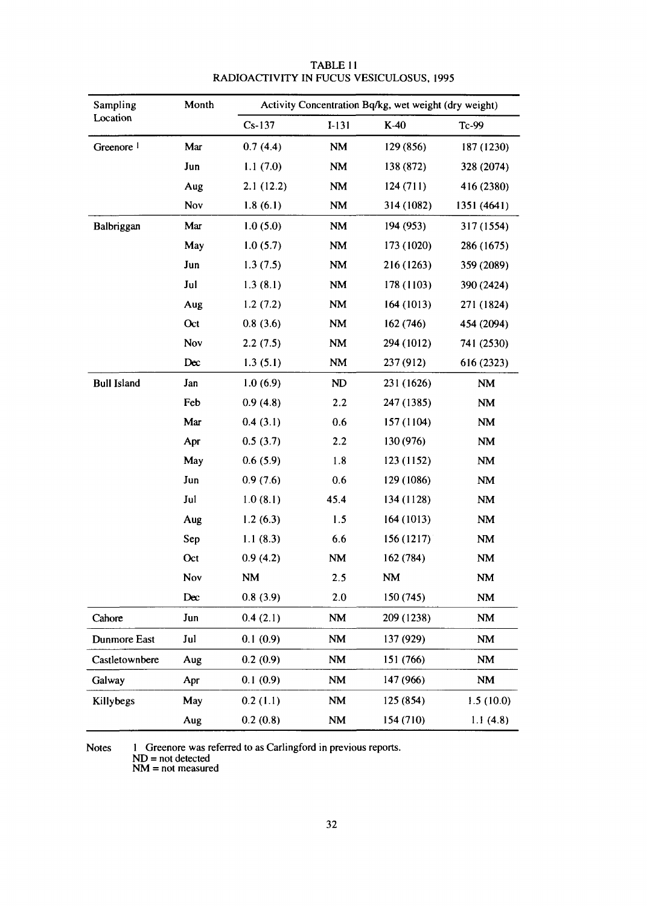| Sampling              | Month<br>Activity Concentration Bq/kg, wet weight (dry weight) |           |                        |            |             |
|-----------------------|----------------------------------------------------------------|-----------|------------------------|------------|-------------|
| Location              |                                                                | $Cs-137$  | $I-131$                | $K-40$     | Tc-99       |
| Greenore <sup>1</sup> | Mar                                                            | 0.7(4.4)  | <b>NM</b>              | 129 (856)  | 187 (1230)  |
|                       | Jun                                                            | 1.1(7.0)  | $\mathbf{N}\mathbf{M}$ | 138 (872)  | 328 (2074)  |
|                       | Aug                                                            | 2.1(12.2) | NM                     | 124(711)   | 416 (2380)  |
|                       | Nov                                                            | 1.8(6.1)  | <b>NM</b>              | 314 (1082) | 1351 (4641) |
| Balbriggan            | Mar                                                            | 1.0(5.0)  | NM                     | 194 (953)  | 317 (1554)  |
|                       | May                                                            | 1.0(5.7)  | $\mathbf{N}\mathbf{M}$ | 173 (1020) | 286 (1675)  |
|                       | Jun                                                            | 1.3(7.5)  | <b>NM</b>              | 216 (1263) | 359 (2089)  |
|                       | Jul                                                            | 1.3(8.1)  | $\mathbf{N}\mathbf{M}$ | 178 (1103) | 390 (2424)  |
|                       | Aug                                                            | 1.2(7.2)  | NM                     | 164 (1013) | 271 (1824)  |
|                       | Oct                                                            | 0.8(3.6)  | <b>NM</b>              | 162 (746)  | 454 (2094)  |
|                       | Nov                                                            | 2.2(7.5)  | <b>NM</b>              | 294 (1012) | 741 (2530)  |
|                       | Dec                                                            | 1.3(5.1)  | NM                     | 237 (912)  | 616 (2323)  |
| <b>Bull Island</b>    | Jan                                                            | 1.0(6.9)  | <b>ND</b>              | 231 (1626) | <b>NM</b>   |
|                       | Feb                                                            | 0.9(4.8)  | 2.2                    | 247 (1385) | <b>NM</b>   |
|                       | Mar                                                            | 0.4(3.1)  | 0.6                    | 157 (1104) | NM          |
|                       | Apr                                                            | 0.5(3.7)  | 2.2                    | 130 (976)  | NM          |
|                       | May                                                            | 0.6(5.9)  | 1.8                    | 123 (1152) | NM          |
|                       | Jun                                                            | 0.9(7.6)  | 0.6                    | 129 (1086) | NM          |
|                       | Jul                                                            | 1.0(8.1)  | 45.4                   | 134 (1128) | <b>NM</b>   |
|                       | Aug                                                            | 1.2(6.3)  | 1.5                    | 164 (1013) | <b>NM</b>   |
|                       | Sep                                                            | 1.1(8.3)  | 6.6                    | 156(1217)  | <b>NM</b>   |
|                       | Oct                                                            | 0.9(4.2)  | <b>NM</b>              | 162 (784)  | <b>NM</b>   |
|                       | Nov                                                            | <b>NM</b> | 2.5                    | NM         | <b>NM</b>   |
|                       | Dec                                                            | 0.8(3.9)  | 2.0                    | 150(745)   | NM          |
| Cahore                | Jun                                                            | 0.4(2.1)  | <b>NM</b>              | 209 (1238) | NM          |
| Dunmore East          | Jul                                                            | 0.1(0.9)  | <b>NM</b>              | 137 (929)  | <b>NM</b>   |
| Castletownbere        | Aug                                                            | 0.2(0.9)  | <b>NM</b>              | 151 (766)  | NM          |
| Galway                | Apr                                                            | 0.1(0.9)  | NM                     | 147 (966)  | NM          |
| Killybegs             | May                                                            | 0.2(1.1)  | NM                     | 125 (854)  | 1.5(10.0)   |
|                       | Aug                                                            | 0.2(0.8)  | NM                     | 154 (710)  | 1.1(4.8)    |

TABLE 11 RADIOACTIVITY IN FUCUS VESICULOSUS, 1995

Notes 1 Greenore was referred to as Carlingford in previous reports.

ND = not detected

NM = not measured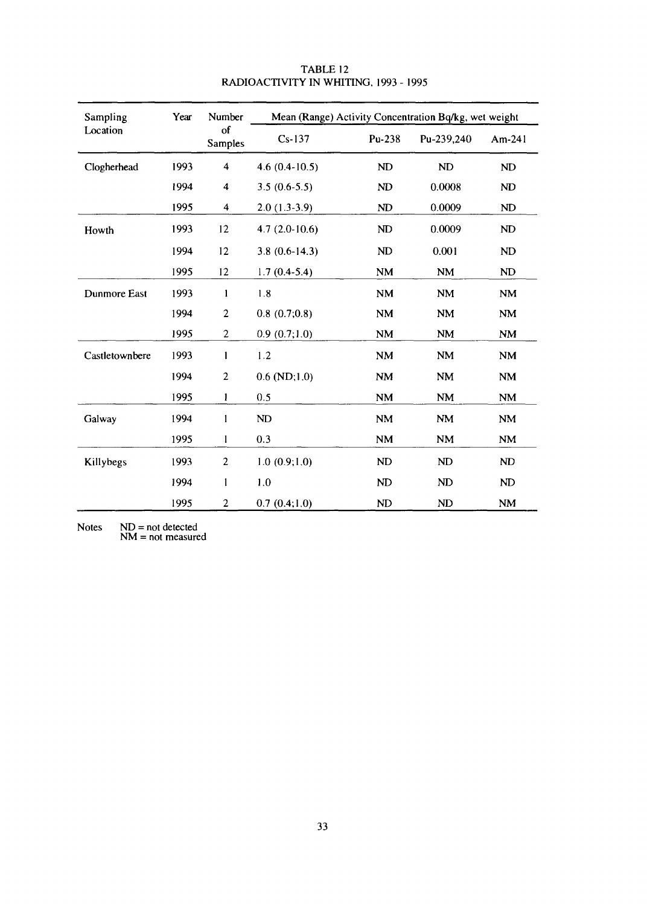| Sampling       | Year | Number                  | Mean (Range) Activity Concentration Bq/kg, wet weight |           |            |                |
|----------------|------|-------------------------|-------------------------------------------------------|-----------|------------|----------------|
| Location       |      | of<br><b>Samples</b>    | $Cs-137$                                              | Pu-238    | Pu-239,240 | $Am-241$       |
| Clogherhead    | 1993 | 4                       | 4.6 $(0.4 - 10.5)$                                    | ND        | ND         | ND             |
|                | 1994 | 4                       | $3.5(0.6-5.5)$                                        | ND        | 0.0008     | N <sub>D</sub> |
|                | 1995 | $\overline{\mathbf{4}}$ | $2.0(1.3-3.9)$                                        | ND        | 0.0009     | ND             |
| Howth          | 1993 | 12                      | $4.7(2.0-10.6)$                                       | ND        | 0.0009     | <b>ND</b>      |
|                | 1994 | 12                      | $3.8(0.6-14.3)$                                       | ND        | 0.001      | ND             |
|                | 1995 | 12                      | $1.7(0.4-5.4)$                                        | <b>NM</b> | <b>NM</b>  | <b>ND</b>      |
| Dunmore East   | 1993 | 1                       | 1.8                                                   | <b>NM</b> | <b>NM</b>  | <b>NM</b>      |
|                | 1994 | $\overline{2}$          | 0.8(0.7;0.8)                                          | <b>NM</b> | <b>NM</b>  | <b>NM</b>      |
|                | 1995 | $\overline{2}$          | 0.9(0.7;1.0)                                          | <b>NM</b> | <b>NM</b>  | NM             |
| Castletownbere | 1993 | 1                       | 1.2                                                   | <b>NM</b> | <b>NM</b>  | <b>NM</b>      |
|                | 1994 | $\overline{c}$          | $0.6$ (ND;1.0)                                        | <b>NM</b> | <b>NM</b>  | <b>NM</b>      |
|                | 1995 | 1                       | 0.5                                                   | <b>NM</b> | NM         | <b>NM</b>      |
| Galway         | 1994 | 1                       | <b>ND</b>                                             | NM        | <b>NM</b>  | <b>NM</b>      |
|                | 1995 | 1                       | 0.3                                                   | NM        | <b>NM</b>  | <b>NM</b>      |
| Killybegs      | 1993 | $\overline{2}$          | 1.0(0.9;1.0)                                          | ND        | ND         | ND             |
|                | 1994 | $\mathbf{1}$            | 1.0                                                   | ND        | ND         | ND             |
|                | 1995 | $\overline{c}$          | 0.7(0.4;1.0)                                          | ND        | ND         | <b>NM</b>      |

TABLE 12 RADIOACTIVITY IN WHITING, 1993 - 1995

Notes  $ND = not$ NM = not detected measured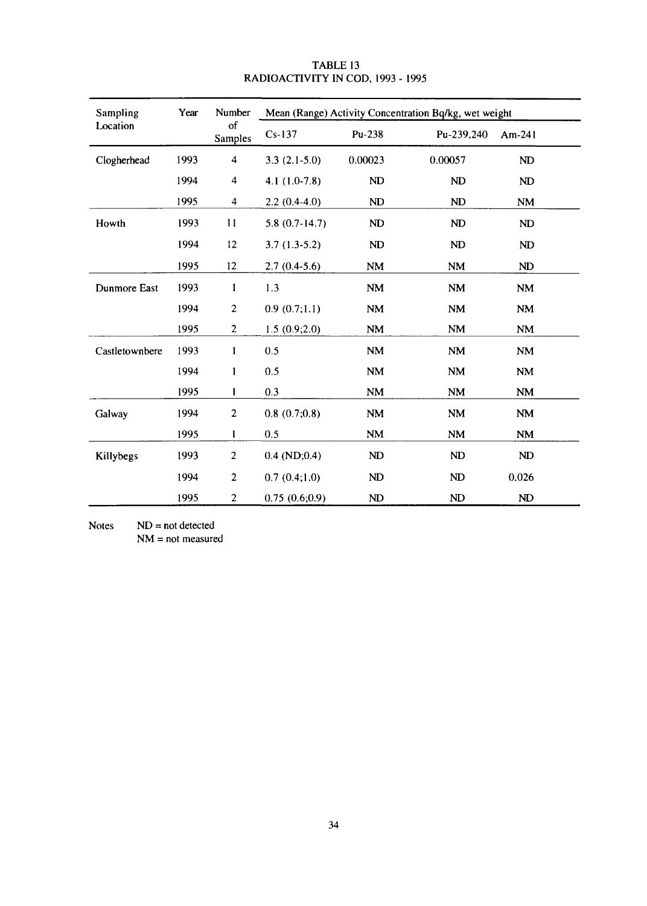| Sampling       | Year | Number                  | Mean (Range) Activity Concentration Bq/kg, wet weight |                |                        |           |
|----------------|------|-------------------------|-------------------------------------------------------|----------------|------------------------|-----------|
| Location       |      | of<br>Samples           | $Cs-137$                                              | Pu-238         | Pu-239,240             | $Am-241$  |
| Clogherhead    | 1993 | $\overline{\mathbf{4}}$ | $3.3(2.1-5.0)$                                        | 0.00023        | 0.00057                | ND        |
|                | 1994 | 4                       | $4.1(1.0-7.8)$                                        | ND             | ND                     | ND        |
|                | 1995 | $\overline{\mathbf{4}}$ | $2.2(0.4-4.0)$                                        | ND             | ND                     | <b>NM</b> |
| Howth          | 1993 | 11                      | $5.8(0.7-14.7)$                                       | ND             | <b>ND</b>              | ND        |
|                | 1994 | 12                      | $3.7(1.3-5.2)$                                        | ND             | ND                     | ND        |
|                | 1995 | 12                      | $2.7(0.4-5.6)$                                        | NM             | <b>NM</b>              | ND        |
| Dunmore East   | 1993 | 1                       | 1.3                                                   | <b>NM</b>      | <b>NM</b>              | <b>NM</b> |
|                | 1994 | $\overline{c}$          | 0.9(0.7;1.1)                                          | <b>NM</b>      | <b>NM</b>              | <b>NM</b> |
|                | 1995 | $\overline{c}$          | 1.5(0.9;2.0)                                          | <b>NM</b>      | NM                     | NM        |
| Castletownbere | 1993 | 1                       | 0.5                                                   | <b>NM</b>      | <b>NM</b>              | NM        |
|                | 1994 | 1                       | 0.5                                                   | <b>NM</b>      | <b>NM</b>              | <b>NM</b> |
|                | 1995 | 1                       | 0.3                                                   | NM             | $\mathbf{N}\mathbf{M}$ | <b>NM</b> |
| Galway         | 1994 | $\overline{c}$          | 0.8(0.7;0.8)                                          | <b>NM</b>      | $\mathbf{NM}$          | NM        |
|                | 1995 | 1                       | 0.5                                                   | <b>NM</b>      | <b>NM</b>              | <b>NM</b> |
| Killybegs      | 1993 | $\overline{c}$          | $0.4$ (ND; $0.4$ )                                    | ND             | ND                     | ND        |
|                | 1994 | $\overline{c}$          | 0.7(0.4;1.0)                                          | ND             | ND                     | 0.026     |
|                | 1995 | $\overline{c}$          | 0.75(0.6;0.9)                                         | N <sub>D</sub> | ND                     | ND        |

#### TABLE 13 RADIOACTIVITY IN COD, 1993 - 1995

Notes  $ND = not detected$ NM = not measured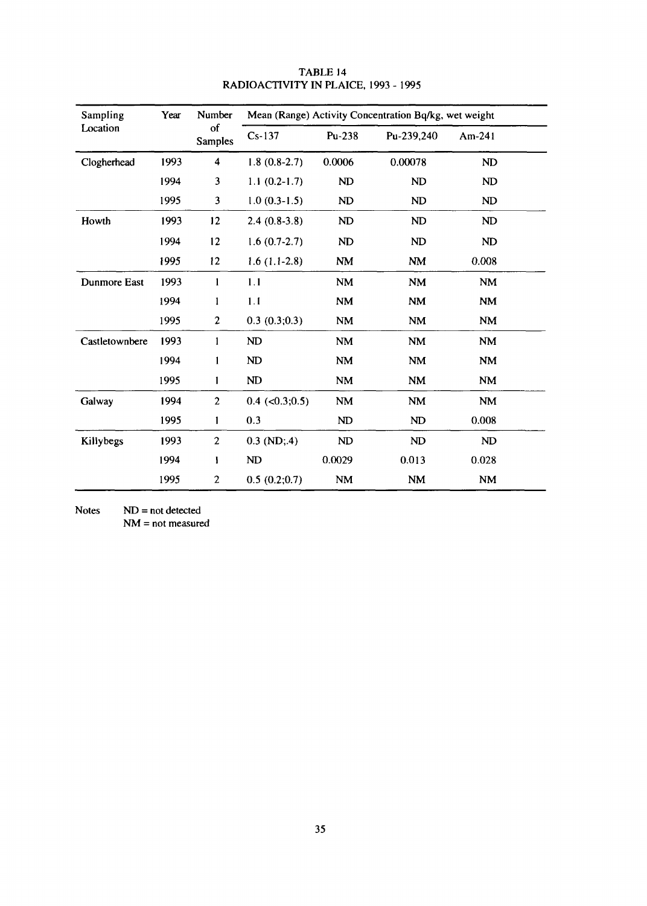| Sampling       | Year | Number               |                      |           | Mean (Range) Activity Concentration Bq/kg, wet weight |           |  |
|----------------|------|----------------------|----------------------|-----------|-------------------------------------------------------|-----------|--|
| Location       |      | οf<br><b>Samples</b> | $Cs-137$             | Pu-238    | Pu-239,240                                            | Am-241    |  |
| Clogherhead    | 1993 | 4                    | $1.8(0.8-2.7)$       | 0.0006    | 0.00078                                               | ND        |  |
|                | 1994 | $\mathbf{3}$         | $1.1(0.2-1.7)$       | <b>ND</b> | ND                                                    | ND        |  |
|                | 1995 | $\mathbf{3}$         | $1.0(0.3-1.5)$       | ND        | ND                                                    | ND        |  |
| Howth          | 1993 | 12                   | $2.4(0.8-3.8)$       | ND        | ND                                                    | ND        |  |
|                | 1994 | 12                   | $1.6(0.7-2.7)$       | ND        | ND                                                    | ND        |  |
|                | 1995 | 12                   | $1.6(1.1-2.8)$       | <b>NM</b> | <b>NM</b>                                             | 0.008     |  |
| Dunmore East   | 1993 | 1                    | 1.1                  | <b>NM</b> | <b>NM</b>                                             | <b>NM</b> |  |
|                | 1994 | 1                    | 1.1                  | <b>NM</b> | <b>NM</b>                                             | <b>NM</b> |  |
|                | 1995 | $\boldsymbol{2}$     | 0.3(0.3;0.3)         | <b>NM</b> | <b>NM</b>                                             | <b>NM</b> |  |
| Castletownbere | 1993 | $\mathbf{1}$         | ND                   | <b>NM</b> | <b>NM</b>                                             | <b>NM</b> |  |
|                | 1994 | $\mathbf{1}$         | ND                   | <b>NM</b> | <b>NM</b>                                             | NM        |  |
|                | 1995 | $\mathbf{1}$         | ND                   | <b>NM</b> | <b>NM</b>                                             | <b>NM</b> |  |
| Galway         | 1994 | $\overline{c}$       | $0.4$ (< $0.3;0.5$ ) | <b>NM</b> | <b>NM</b>                                             | <b>NM</b> |  |
|                | 1995 | $\mathbf{1}$         | 0.3                  | ND        | ND                                                    | 0.008     |  |
| Killybegs      | 1993 | $\overline{c}$       | $0.3$ (ND;.4)        | ND        | <b>ND</b>                                             | ND        |  |
|                | 1994 | $\mathbf{I}$         | ND                   | 0.0029    | 0.013                                                 | 0.028     |  |
|                | 1995 | $\overline{c}$       | 0.5(0.2;0.7)         | <b>NM</b> | <b>NM</b>                                             | <b>NM</b> |  |

# TABLE 14 RADIOACTIVITY IN PLAICE, 1993 - 1995

Notes **ND**  $ND = not detected$ 

NM = not measured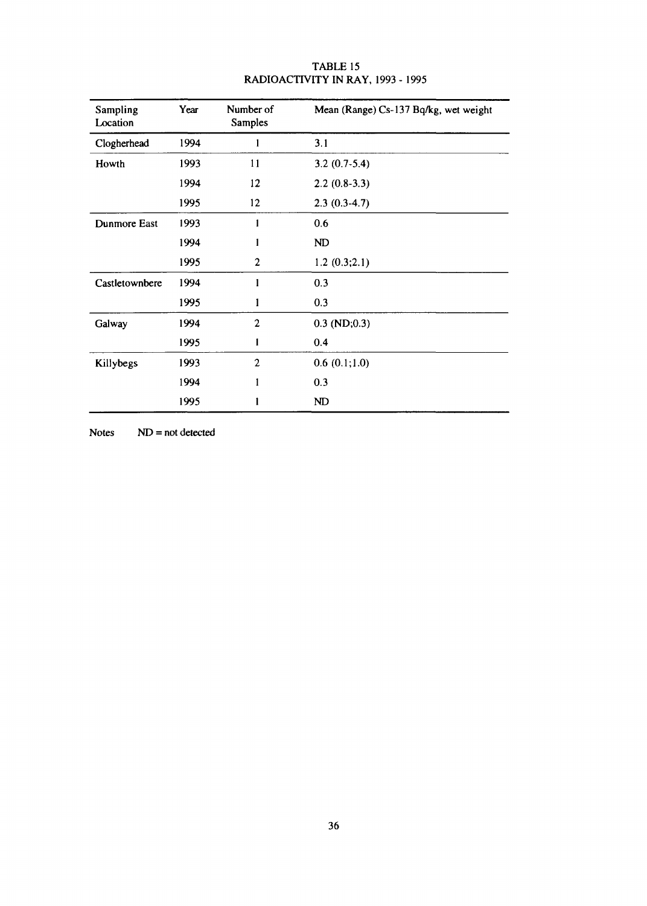| Sampling<br>Location | Year | Number of<br>Samples | Mean (Range) Cs-137 Bq/kg, wet weight |
|----------------------|------|----------------------|---------------------------------------|
| Clogherhead          | 1994 |                      | 3.1                                   |
| Howth                | 1993 | 11                   | $3.2(0.7-5.4)$                        |
|                      | 1994 | 12                   | $2.2(0.8-3.3)$                        |
|                      | 1995 | 12                   | $2.3(0.3-4.7)$                        |
| Dunmore East         | 1993 |                      | 0.6                                   |
|                      | 1994 |                      | ND                                    |
|                      | 1995 | $\mathbf{2}$         | 1.2(0.3;2.1)                          |
| Castletownbere       | 1994 |                      | 0.3                                   |
|                      | 1995 | l                    | 0.3                                   |
| Galway               | 1994 | $\mathbf{2}$         | $0.3$ (ND; $0.3$ )                    |
|                      | 1995 | l                    | 0.4                                   |
| Killybegs            | 1993 | $\overline{2}$       | 0.6(0.1;1.0)                          |
|                      | 1994 |                      | 0.3                                   |
|                      | 1995 |                      | ND                                    |

# TABLE 15 RADIOACTIVITY IN RAY, 1993 - 1995

 $NoteS \tND = not detected$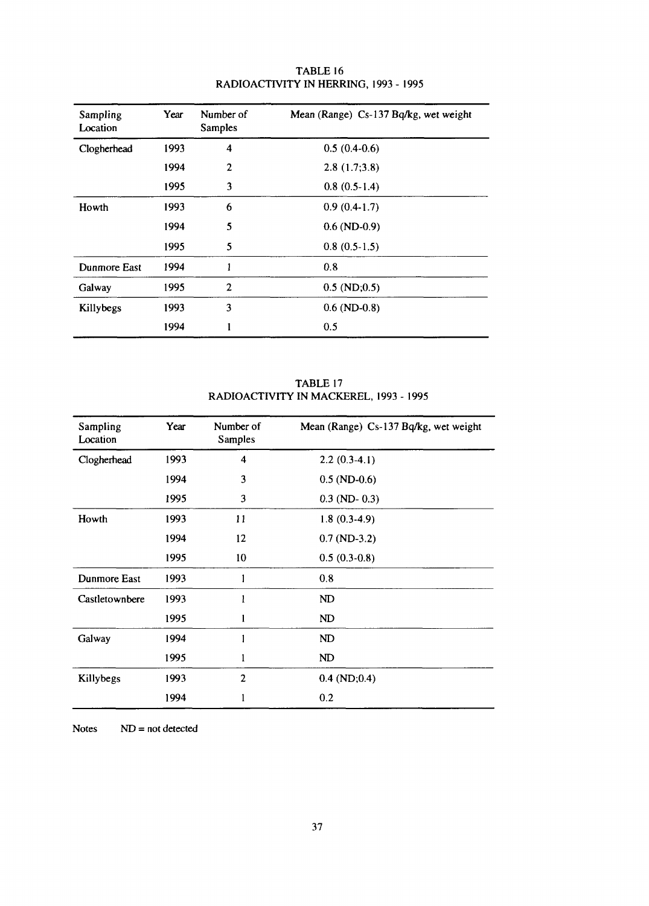| Sampling<br>Location | Year | Number of<br><b>Samples</b> | Mean (Range) Cs-137 Bq/kg, wet weight |
|----------------------|------|-----------------------------|---------------------------------------|
| Clogherhead          | 1993 | 4                           | $0.5(0.4-0.6)$                        |
|                      | 1994 | 2                           | 2.8(1.7;3.8)                          |
|                      | 1995 | 3                           | $0.8(0.5-1.4)$                        |
| Howth                | 1993 | 6                           | $0.9(0.4-1.7)$                        |
|                      | 1994 | 5                           | $0.6$ (ND-0.9)                        |
|                      | 1995 | 5                           | $0.8(0.5-1.5)$                        |
| Dunmore East         | 1994 | 1                           | 0.8                                   |
| Galway               | 1995 | $\overline{2}$              | $0.5$ (ND; $0.5$ )                    |
| Killybegs            | 1993 | 3                           | $0.6$ (ND- $0.8$ )                    |
|                      | 1994 |                             | 0.5                                   |

# TABLE 16 RADIOACTIVITY IN HERRING, 1993 - 1995

# TABLE 17 RADIOACTIVITY IN MACKEREL, 1993 - 1995

| Sampling<br>Location | Year | Number of<br>Samples | Mean (Range) Cs-137 Bq/kg, wet weight |
|----------------------|------|----------------------|---------------------------------------|
| Clogherhead          | 1993 | 4                    | $2.2(0.3-4.1)$                        |
|                      | 1994 | 3                    | $0.5$ (ND-0.6)                        |
|                      | 1995 | 3                    | $0.3$ (ND- $0.3$ )                    |
| Howth                | 1993 | 11                   | $1.8(0.3-4.9)$                        |
|                      | 1994 | $12 \overline{ }$    | $0.7$ (ND-3.2)                        |
|                      | 1995 | 10                   | $0.5(0.3-0.8)$                        |
| Dunmore East         | 1993 |                      | 0.8                                   |
| Castletownbere       | 1993 |                      | ND                                    |
|                      | 1995 |                      | ND                                    |
| Galway               | 1994 |                      | ND                                    |
|                      | 1995 |                      | ND                                    |
| Killybegs            | 1993 | $\overline{2}$       | $0.4$ (ND; $0.4$ )                    |
|                      | 1994 |                      | 0.2                                   |

Notes  $ND = not detected$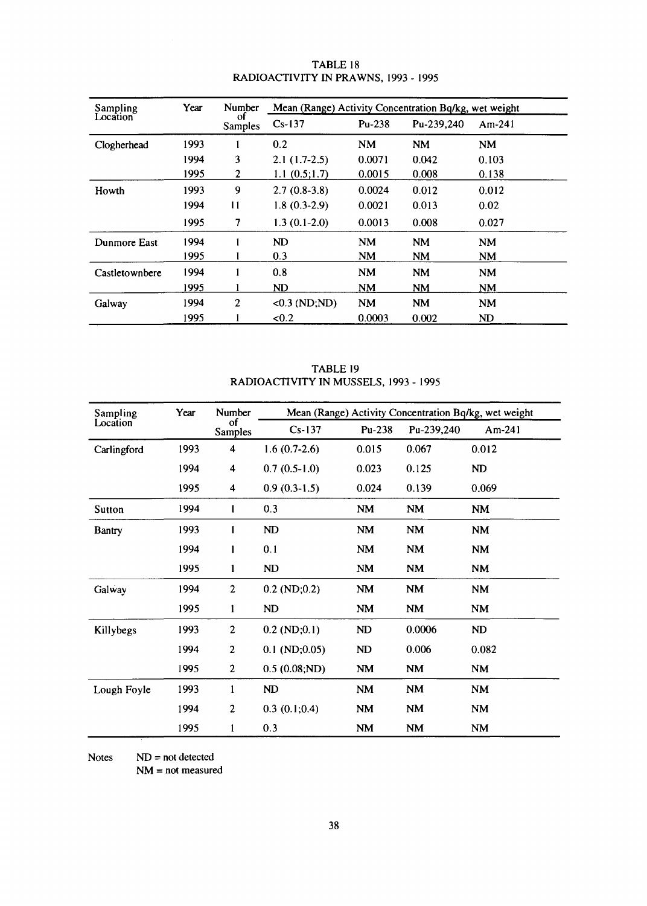| Sampling       | Year | Number         | Mean (Range) Activity Concentration Bq/kg, wet weight |           |            |           |  |
|----------------|------|----------------|-------------------------------------------------------|-----------|------------|-----------|--|
| Location       |      | οf<br>Samples  | $Cs-137$                                              | $Pu-238$  | Pu-239,240 | $Am-241$  |  |
| Clogherhead    | 1993 |                | 0.2                                                   | <b>NM</b> | <b>NM</b>  | <b>NM</b> |  |
|                | 1994 | 3              | $2.1(1.7-2.5)$                                        | 0.0071    | 0.042      | 0.103     |  |
|                | 1995 | 2              | 1.1(0.5;1.7)                                          | 0.0015    | 0.008      | 0.138     |  |
| Howth          | 1993 | 9              | $2.7(0.8-3.8)$                                        | 0.0024    | 0.012      | 0.012     |  |
|                | 1994 | 11             | $1.8(0.3-2.9)$                                        | 0.0021    | 0.013      | 0.02      |  |
|                | 1995 | 7              | $1.3(0.1-2.0)$                                        | 0.0013    | 0.008      | 0.027     |  |
| Dunmore East   | 1994 |                | ND                                                    | <b>NM</b> | <b>NM</b>  | <b>NM</b> |  |
|                | 1995 |                | 0.3                                                   | <b>NM</b> | <b>NM</b>  | <b>NM</b> |  |
| Castletownbere | 1994 |                | 0.8                                                   | <b>NM</b> | <b>NM</b>  | <b>NM</b> |  |
|                | 1995 |                | ND                                                    | <b>NM</b> | <b>NM</b>  | NΜ        |  |
| Galway         | 1994 | $\overline{c}$ | $<0.3$ (ND;ND)                                        | <b>NM</b> | <b>NM</b>  | <b>NM</b> |  |
|                | 1995 |                | <0.2                                                  | 0.0003    | 0.002      | ND        |  |

#### TABLE 18 RADIOACTIVITY IN PRAWNS, 1993 - 1995

TABLE 19 RADIOACTIVITY IN MUSSELS, 1993 - 1995

| Sampling      | Year | Number                  | Mean (Range) Activity Concentration Bq/kg, wet weight |           |                        |                        |
|---------------|------|-------------------------|-------------------------------------------------------|-----------|------------------------|------------------------|
| Location      |      | οf<br><b>Samples</b>    | $Cs-137$                                              | Pu-238    | Pu-239,240             | $Am-241$               |
| Carlingford   | 1993 | $\overline{\mathbf{4}}$ | $1.6(0.7-2.6)$                                        | 0.015     | 0.067                  | 0.012                  |
|               | 1994 | 4                       | $0.7(0.5-1.0)$                                        | 0.023     | 0.125                  | ND                     |
|               | 1995 | 4                       | $0.9(0.3-1.5)$                                        | 0.024     | 0.139                  | 0.069                  |
| Sutton        | 1994 |                         | 0.3                                                   | <b>NM</b> | <b>NM</b>              | <b>NM</b>              |
| <b>Bantry</b> | 1993 | 1                       | ND                                                    | <b>NM</b> | <b>NM</b>              | NM                     |
|               | 1994 | 1                       | 0.1                                                   | <b>NM</b> | <b>NM</b>              | $\mathbf{N}\mathbf{M}$ |
|               | 1995 | 1                       | ND                                                    | <b>NM</b> | <b>NM</b>              | NM                     |
| Galway        | 1994 | $\boldsymbol{2}$        | $0.2$ (ND; $0.2$ )                                    | NM        | <b>NM</b>              | <b>NM</b>              |
|               | 1995 | $\mathbf{1}$            | ND                                                    | NM        | $\mathbf{N}\mathbf{M}$ | <b>NM</b>              |
| Killybegs     | 1993 | $\boldsymbol{2}$        | $0.2$ (ND; $0.1$ )                                    | ND        | 0.0006                 | ND                     |
|               | 1994 | $\overline{c}$          | $0.1 \text{ (ND)}; 0.05)$                             | ND        | 0.006                  | 0.082                  |
|               | 1995 | $\mathbf{2}$            | 0.5(0.08; ND)                                         | NM        | NM                     | <b>NM</b>              |
| Lough Foyle   | 1993 | $\mathbf{1}$            | ND                                                    | NM        | $\mathbf{N}\mathbf{M}$ | <b>NM</b>              |
|               | 1994 | $\overline{c}$          | 0.3(0.1;0.4)                                          | NM        | <b>NM</b>              | <b>NM</b>              |
|               | 1995 | 1                       | 0.3                                                   | <b>NM</b> | <b>NM</b>              | <b>NM</b>              |

 $Notes \tND = not detected$ 

NM = not measured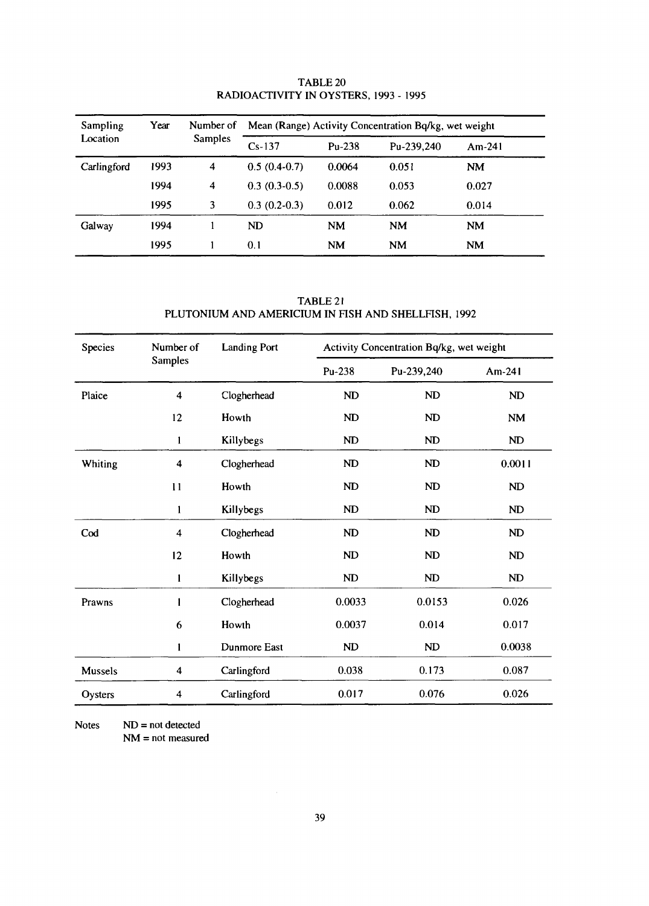| Sampling<br>Location | Year | Number of<br><b>Samples</b> | Mean (Range) Activity Concentration Bq/kg, wet weight |          |            |           |
|----------------------|------|-----------------------------|-------------------------------------------------------|----------|------------|-----------|
|                      |      |                             | $Cs-137$                                              | $Pu-238$ | Pu-239,240 | $Am-241$  |
| Carlingford          | 1993 | $\overline{4}$              | $0.5(0.4-0.7)$                                        | 0.0064   | 0.051      | <b>NM</b> |
|                      | 1994 | $\overline{4}$              | $0.3(0.3-0.5)$                                        | 0.0088   | 0.053      | 0.027     |
|                      | 1995 | 3                           | $0.3(0.2-0.3)$                                        | 0.012    | 0.062      | 0.014     |
| Galway               | 1994 |                             | ND                                                    | NM       | <b>NM</b>  | NM        |
|                      | 1995 |                             | 0.1                                                   | NM       | <b>NM</b>  | <b>NM</b> |

TABLE 20 RADIOACTIVITY IN OYSTERS, 1993 - 1995

TABLE 21 PLUTONIUM AND AMERICIUM IN FISH AND SHELLFISH, 1992

| Species        | Number of               | <b>Landing Port</b> | Activity Concentration Bq/kg, wet weight |            |           |  |
|----------------|-------------------------|---------------------|------------------------------------------|------------|-----------|--|
|                | Samples                 |                     | Pu-238                                   | Pu-239,240 | Am-241    |  |
| Plaice         | $\overline{\mathbf{4}}$ | Clogherhead         | ND                                       | ND         | ND        |  |
|                | 12                      | Howth               | ND                                       | ND         | NM        |  |
|                | $\mathbf{1}$            | Killybegs           | ND                                       | ND         | ND        |  |
| Whiting        | $\overline{\mathbf{4}}$ | Clogherhead         | ND                                       | ND         | 0.0011    |  |
|                | 11                      | Howth               | ND                                       | ND         | <b>ND</b> |  |
|                | 1                       | Killybegs           | ND                                       | ND         | <b>ND</b> |  |
| Cod            | $\overline{\mathbf{4}}$ | Clogherhead         | ND                                       | ND         | ND        |  |
|                | 12                      | Howth               | ND                                       | ND         | ND        |  |
|                | 1                       | Killybegs           | ND                                       | ND         | ND        |  |
| Prawns         | l                       | Clogherhead         | 0.0033                                   | 0.0153     | 0.026     |  |
|                | 6                       | Howth               | 0.0037                                   | 0.014      | 0.017     |  |
|                | 1                       | Dunmore East        | ND                                       | ND         | 0.0038    |  |
| <b>Mussels</b> | 4                       | Carlingford         | 0.038                                    | 0.173      | 0.087     |  |
| Oysters        | 4                       | Carlingford         | 0.017                                    | 0.076      | 0.026     |  |

**Notes** NM = not measured  $ND = not detected$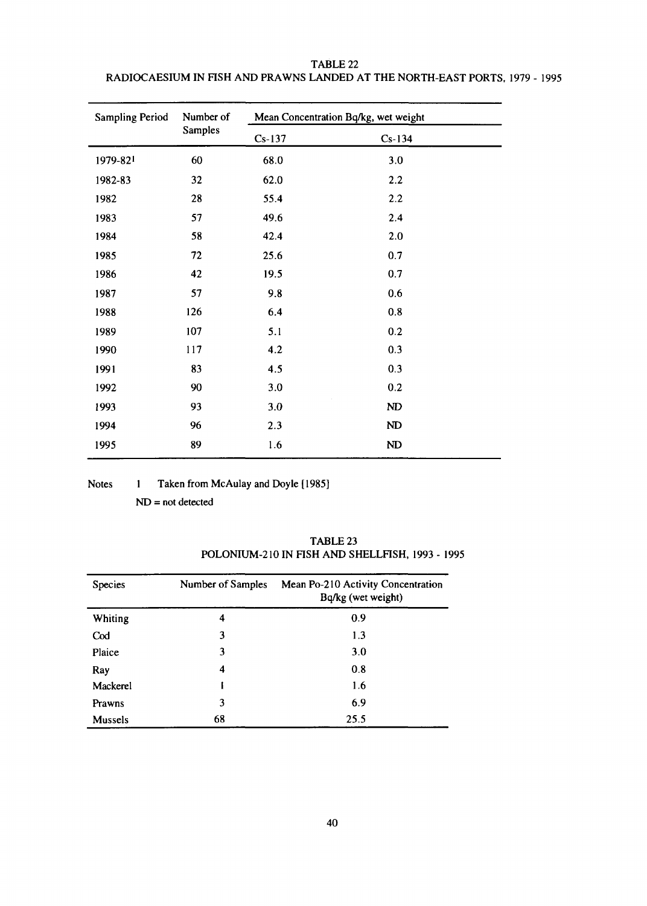| <b>Sampling Period</b> | Number of      | Mean Concentration Bq/kg, wet weight |          |  |  |
|------------------------|----------------|--------------------------------------|----------|--|--|
|                        | <b>Samples</b> | $Cs-137$                             | $Cs-134$ |  |  |
| 1979-821               | 60             | 68.0                                 | 3.0      |  |  |
| 1982-83                | 32             | 62.0                                 | 2.2      |  |  |
| 1982                   | 28             | 55.4                                 | 2.2      |  |  |
| 1983                   | 57             | 49.6                                 | 2.4      |  |  |
| 1984                   | 58             | 42.4                                 | 2.0      |  |  |
| 1985                   | 72             | 25.6                                 | 0.7      |  |  |
| 1986                   | 42             | 19.5                                 | 0.7      |  |  |
| 1987                   | 57             | 9.8                                  | 0.6      |  |  |
| 1988                   | 126            | 6.4                                  | 0.8      |  |  |
| 1989                   | 107            | 5.1                                  | 0.2      |  |  |
| 1990                   | 117            | 4.2                                  | 0.3      |  |  |
| 1991                   | 83             | 4.5                                  | 0.3      |  |  |
| 1992                   | 90             | 3.0                                  | 0.2      |  |  |
| 1993                   | 93             | 3.0                                  | ND       |  |  |
| 1994                   | 96             | 2.3                                  | ND       |  |  |
| 1995                   | 89             | 1.6                                  | ND       |  |  |

TABLE 22 RADIOCAESIUM IN FISH AND PRAWNS LANDED AT THE NORTH-EAST PORTS, 1979 - 1995

Notes 1 Taken from McAulay and Doyle [1985]

ND = not detected

| <b>Species</b>  | Number of Samples | Mean Po-210 Activity Concentration<br>Bq/kg (wet weight) |
|-----------------|-------------------|----------------------------------------------------------|
| Whiting         | 4                 | 0.9                                                      |
| C <sub>od</sub> | 3                 | 1.3                                                      |
| Plaice          | 3                 | 3.0                                                      |
| Ray             | 4                 | 0.8                                                      |
| Mackerel        |                   | 1.6                                                      |
| Prawns          | 3                 | 6.9                                                      |
| <b>Mussels</b>  | 68                | 25.5                                                     |

TABLE 23 POLONIUM-210 IN FISH AND SHELLFISH, 1993 - 1995